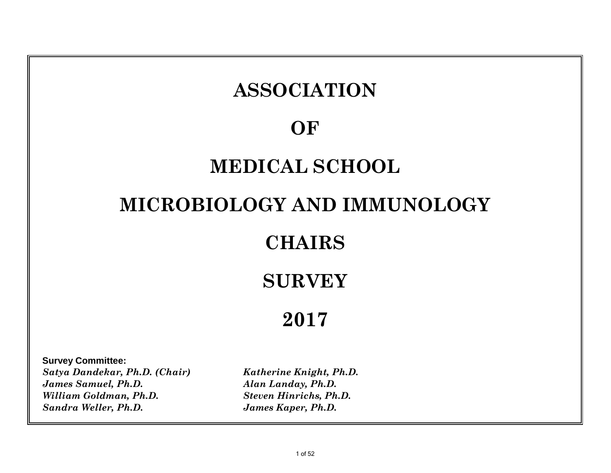# **Survey Committee:** *Satya Dandekar, Ph.D. (Chair) Katherine Knight, Ph.D. James Samuel, Ph.D. Alan Landay, Ph.D. William Goldman, Ph.D. Steven Hinrichs, Ph.D.* **2017 ASSOCIATION OF MEDICAL SCHOOL MICROBIOLOGY AND IMMUNOLOGY CHAIRS SURVEY**

*Sandra Weller, Ph.D. James Kaper, Ph.D.*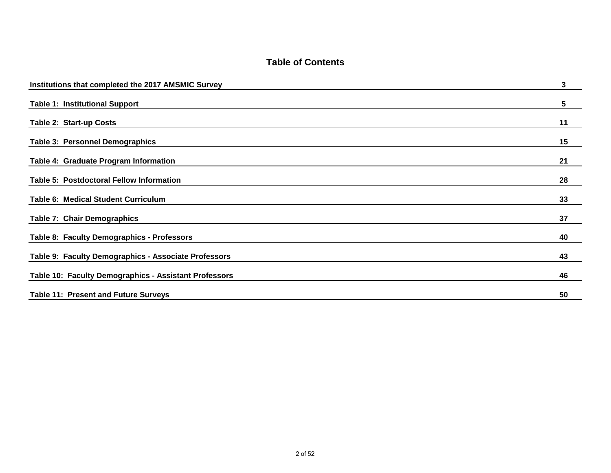#### **Table of Contents**

| Institutions that completed the 2017 AMSMIC Survey    | 3  |
|-------------------------------------------------------|----|
| <b>Table 1: Institutional Support</b>                 | 5  |
| Table 2: Start-up Costs                               | 11 |
| <b>Table 3: Personnel Demographics</b>                | 15 |
| Table 4: Graduate Program Information                 | 21 |
| Table 5: Postdoctoral Fellow Information              | 28 |
| <b>Table 6: Medical Student Curriculum</b>            | 33 |
| Table 7: Chair Demographics                           | 37 |
| Table 8: Faculty Demographics - Professors            | 40 |
| Table 9: Faculty Demographics - Associate Professors  | 43 |
| Table 10: Faculty Demographics - Assistant Professors | 46 |
| <b>Table 11: Present and Future Surveys</b>           | 50 |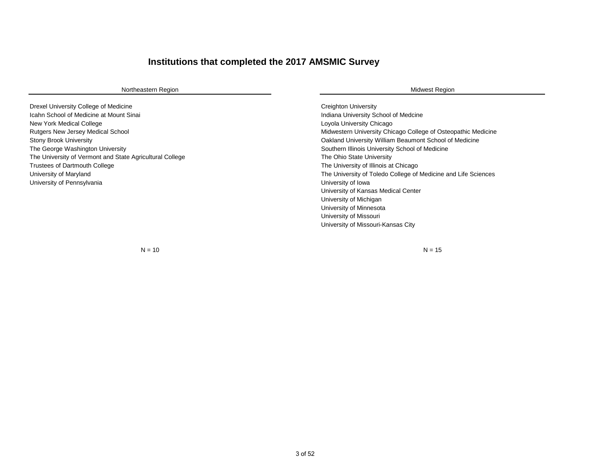### **Institutions that completed the 2017 AMSMIC Survey**

| Northeastern Region                                      | <b>Midwest Region</b>                                          |
|----------------------------------------------------------|----------------------------------------------------------------|
| Drexel University College of Medicine                    | <b>Creighton University</b>                                    |
| Icahn School of Medicine at Mount Sinai                  | Indiana University School of Medcine                           |
| New York Medical College                                 | Loyola University Chicago                                      |
| Rutgers New Jersey Medical School                        | Midwestern University Chicago College of Osteopathic Medicine  |
| <b>Stony Brook University</b>                            | Oakland University William Beaumont School of Medicine         |
| The George Washington University                         | Southern Illinois University School of Medicine                |
| The University of Vermont and State Agricultural College | The Ohio State University                                      |
| <b>Trustees of Dartmouth College</b>                     | The University of Illinois at Chicago                          |
| University of Maryland                                   | The University of Toledo College of Medicine and Life Sciences |
| University of Pennsylvania                               | University of Iowa                                             |
|                                                          | University of Kansas Medical Center                            |
|                                                          | University of Michigan                                         |
|                                                          | University of Minnesota                                        |
|                                                          | University of Missouri                                         |
|                                                          | University of Missouri-Kansas City                             |

 $N = 10$   $N = 15$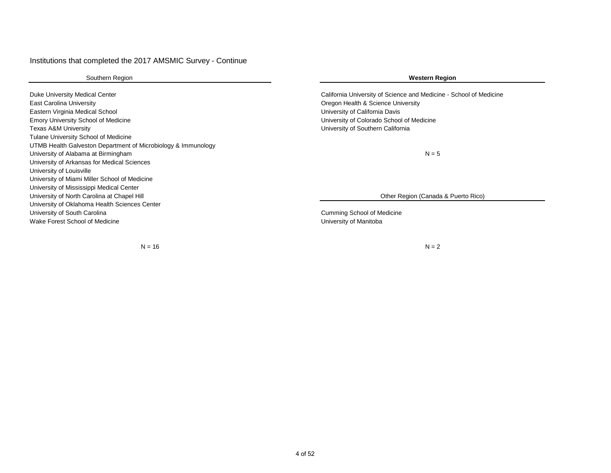#### Institutions that completed the 2017 AMSMIC Survey - Continue

Southern Region

Duke University Medical Center California University of Science and Medicine - School of Medicine East Carolina University Oregon Health & Science University Eastern Virginia Medical School University of California Davis Emory University School of Medicine University of Colorado School of Medicine Texas A&M University University of Southern California Tulane University School of Medicine UTMB Health Galveston Department of Microbiology & Immunology University of Alabama at Birmingham University of Arkansas for Medical Sciences University of Louisville University of Miami Miller School of Medicine University of Mississippi Medical Center University of North Carolina at Chapel Hill University of Oklahoma Health Sciences Center University of South Carolina Cumming School of Medicine Wake Forest School of Medicine **National School of Medicine** University of Manitoba

 $N = 16$ 

#### **Western Region**

 $N = 5$ 

Other Region (Canada & Puerto Rico)

 $N = 2$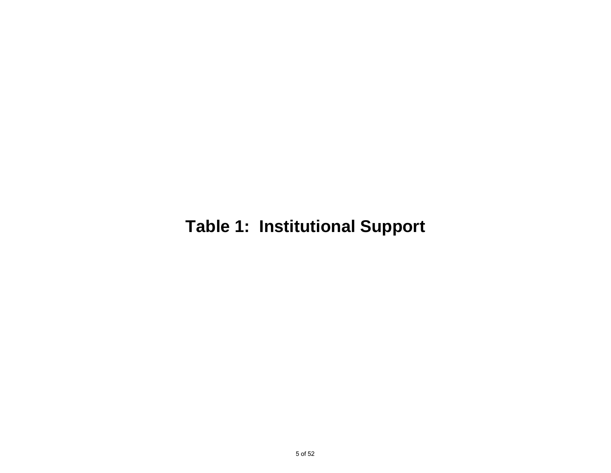## **Table 1: Institutional Support**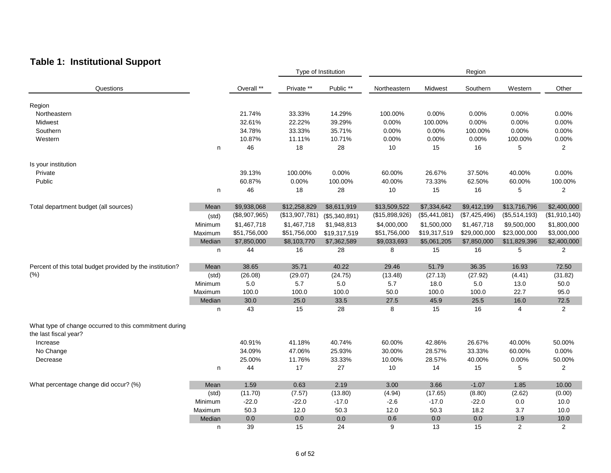### **Table 1: Institutional Support**

|                                                                                 |         |               |                | Type of Institution |                |                 | Region        |                |                |
|---------------------------------------------------------------------------------|---------|---------------|----------------|---------------------|----------------|-----------------|---------------|----------------|----------------|
| Questions                                                                       |         | Overall **    | Private **     | Public **           | Northeastern   | Midwest         | Southern      | Western        | Other          |
| Region                                                                          |         |               |                |                     |                |                 |               |                |                |
| Northeastern                                                                    |         | 21.74%        | 33.33%         | 14.29%              | 100.00%        | 0.00%           | 0.00%         | 0.00%          | 0.00%          |
| Midwest                                                                         |         | 32.61%        | 22.22%         | 39.29%              | 0.00%          | 100.00%         | 0.00%         | 0.00%          | 0.00%          |
| Southern                                                                        |         | 34.78%        | 33.33%         | 35.71%              | 0.00%          | 0.00%           | 100.00%       | 0.00%          | 0.00%          |
| Western                                                                         |         | 10.87%        | 11.11%         | 10.71%              | 0.00%          | 0.00%           | 0.00%         | 100.00%        | 0.00%          |
|                                                                                 | n       | 46            | 18             | 28                  | 10             | 15              | 16            | 5              | $\overline{2}$ |
| Is your institution                                                             |         |               |                |                     |                |                 |               |                |                |
| Private                                                                         |         | 39.13%        | 100.00%        | 0.00%               | 60.00%         | 26.67%          | 37.50%        | 40.00%         | 0.00%          |
| Public                                                                          |         | 60.87%        | 0.00%          | 100.00%             | 40.00%         | 73.33%          | 62.50%        | 60.00%         | 100.00%        |
|                                                                                 | n       | 46            | 18             | 28                  | 10             | 15              | 16            | 5              | $\overline{2}$ |
| Total department budget (all sources)                                           | Mean    | \$9,938,068   | \$12,258,829   | \$8,611,919         | \$13,509,522   | \$7,334,642     | \$9,412,199   | \$13,716,796   | \$2,400,000    |
|                                                                                 | (std)   | (\$8,907,965) | (\$13,907,781) | (\$5,340,891)       | (\$15,898,926) | $(\$5,441,081)$ | (\$7,425,496) | (\$5,514,193)  | (\$1,910,140)  |
|                                                                                 | Minimum | \$1,467,718   | \$1,467,718    | \$1,948,813         | \$4,000,000    | \$1,500,000     | \$1,467,718   | \$9,500,000    | \$1,800,000    |
|                                                                                 | Maximum | \$51,756,000  | \$51,756,000   | \$19,317,519        | \$51,756,000   | \$19,317,519    | \$29,000,000  | \$23,000,000   | \$3,000,000    |
|                                                                                 | Median  | \$7,850,000   | \$8,103,770    | \$7,362,589         | \$9,033,693    | \$5,061,205     | \$7,850,000   | \$11,829,396   | \$2,400,000    |
|                                                                                 | n       | 44            | 16             | 28                  | 8              | 15              | 16            | 5              | $\overline{2}$ |
| Percent of this total budget provided by the institution?                       | Mean    | 38.65         | 35.71          | 40.22               | 29.46          | 51.79           | 36.35         | 16.93          | 72.50          |
| (% )                                                                            | (std)   | (26.08)       | (29.07)        | (24.75)             | (13.48)        | (27.13)         | (27.92)       | (4.41)         | (31.82)        |
|                                                                                 | Minimum | 5.0           | 5.7            | 5.0                 | 5.7            | 18.0            | 5.0           | 13.0           | 50.0           |
|                                                                                 | Maximum | 100.0         | 100.0          | 100.0               | 50.0           | 100.0           | 100.0         | 22.7           | 95.0           |
|                                                                                 | Median  | 30.0          | 25.0           | 33.5                | 27.5           | 45.9            | 25.5          | 16.0           | 72.5           |
|                                                                                 | n       | 43            | 15             | 28                  | 8              | 15              | 16            | 4              | $\overline{2}$ |
| What type of change occurred to this commitment during<br>the last fiscal year? |         |               |                |                     |                |                 |               |                |                |
| Increase                                                                        |         | 40.91%        | 41.18%         | 40.74%              | 60.00%         | 42.86%          | 26.67%        | 40.00%         | 50.00%         |
| No Change                                                                       |         | 34.09%        | 47.06%         | 25.93%              | 30.00%         | 28.57%          | 33.33%        | 60.00%         | 0.00%          |
| Decrease                                                                        |         | 25.00%        | 11.76%         | 33.33%              | 10.00%         | 28.57%          | 40.00%        | 0.00%          | 50.00%         |
|                                                                                 | n       | 44            | 17             | 27                  | 10             | 14              | 15            | 5              | $\overline{2}$ |
| What percentage change did occur? (%)                                           | Mean    | 1.59          | 0.63           | 2.19                | 3.00           | 3.66            | $-1.07$       | 1.85           | 10.00          |
|                                                                                 | (std)   | (11.70)       | (7.57)         | (13.80)             | (4.94)         | (17.65)         | (8.80)        | (2.62)         | (0.00)         |
|                                                                                 | Minimum | $-22.0$       | $-22.0$        | $-17.0$             | $-2.6$         | $-17.0$         | $-22.0$       | 0.0            | 10.0           |
|                                                                                 | Maximum | 50.3          | 12.0           | 50.3                | 12.0           | 50.3            | 18.2          | 3.7            | 10.0           |
|                                                                                 | Median  | 0.0           | 0.0            | 0.0                 | 0.6            | 0.0             | 0.0           | 1.9            | 10.0           |
|                                                                                 | n       | 39            | 15             | 24                  | 9              | 13              | 15            | $\overline{2}$ | $\overline{2}$ |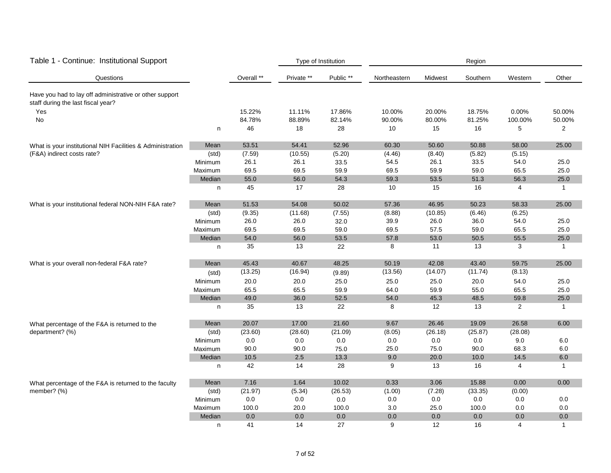| Table 1 - Continue: Institutional Support                                                     |         |            |            | Type of Institution |              | Region  |          |                |                |  |  |
|-----------------------------------------------------------------------------------------------|---------|------------|------------|---------------------|--------------|---------|----------|----------------|----------------|--|--|
| Questions                                                                                     |         | Overall ** | Private ** | Public **           | Northeastern | Midwest | Southern | Western        | Other          |  |  |
| Have you had to lay off administrative or other support<br>staff during the last fiscal year? |         |            |            |                     |              |         |          |                |                |  |  |
| Yes                                                                                           |         | 15.22%     | 11.11%     | 17.86%              | 10.00%       | 20.00%  | 18.75%   | 0.00%          | 50.00%         |  |  |
| No                                                                                            |         | 84.78%     | 88.89%     | 82.14%              | 90.00%       | 80.00%  | 81.25%   | 100.00%        | 50.00%         |  |  |
|                                                                                               | n       | 46         | 18         | 28                  | 10           | 15      | 16       | 5              | $\overline{2}$ |  |  |
| What is your institutional NIH Facilities & Administration                                    | Mean    | 53.51      | 54.41      | 52.96               | 60.30        | 50.60   | 50.88    | 58.00          | 25.00          |  |  |
| (F&A) indirect costs rate?                                                                    | (std)   | (7.59)     | (10.55)    | (5.20)              | (4.46)       | (8.40)  | (5.82)   | (5.15)         |                |  |  |
|                                                                                               | Minimum | 26.1       | 26.1       | 33.5                | 54.5         | 26.1    | 33.5     | 54.0           | 25.0           |  |  |
|                                                                                               | Maximum | 69.5       | 69.5       | 59.9                | 69.5         | 59.9    | 59.0     | 65.5           | 25.0           |  |  |
|                                                                                               | Median  | 55.0       | 56.0       | 54.3                | 59.3         | 53.5    | 51.3     | 56.3           | 25.0           |  |  |
|                                                                                               | n       | 45         | 17         | 28                  | 10           | 15      | 16       | 4              | $\mathbf{1}$   |  |  |
| What is your institutional federal NON-NIH F&A rate?                                          | Mean    | 51.53      | 54.08      | 50.02               | 57.36        | 46.95   | 50.23    | 58.33          | 25.00          |  |  |
|                                                                                               | (std)   | (9.35)     | (11.68)    | (7.55)              | (8.88)       | (10.85) | (6.46)   | (6.25)         |                |  |  |
|                                                                                               | Minimum | 26.0       | 26.0       | 32.0                | 39.9         | 26.0    | 36.0     | 54.0           | 25.0           |  |  |
|                                                                                               | Maximum | 69.5       | 69.5       | 59.0                | 69.5         | 57.5    | 59.0     | 65.5           | 25.0           |  |  |
|                                                                                               | Median  | 54.0       | 56.0       | 53.5                | 57.8         | 53.0    | 50.5     | 55.5           | 25.0           |  |  |
|                                                                                               | n       | 35         | 13         | 22                  | 8            | 11      | 13       | 3              | $\mathbf{1}$   |  |  |
| What is your overall non-federal F&A rate?                                                    | Mean    | 45.43      | 40.67      | 48.25               | 50.19        | 42.08   | 43.40    | 59.75          | 25.00          |  |  |
|                                                                                               | (std)   | (13.25)    | (16.94)    | (9.89)              | (13.56)      | (14.07) | (11.74)  | (8.13)         |                |  |  |
|                                                                                               | Minimum | 20.0       | 20.0       | 25.0                | 25.0         | 25.0    | 20.0     | 54.0           | 25.0           |  |  |
|                                                                                               | Maximum | 65.5       | 65.5       | 59.9                | 64.0         | 59.9    | 55.0     | 65.5           | 25.0           |  |  |
|                                                                                               | Median  | 49.0       | 36.0       | 52.5                | 54.0         | 45.3    | 48.5     | 59.8           | 25.0           |  |  |
|                                                                                               | n       | 35         | 13         | 22                  | 8            | 12      | 13       | $\overline{2}$ | $\mathbf{1}$   |  |  |
| What percentage of the F&A is returned to the                                                 | Mean    | 20.07      | 17.00      | 21.60               | 9.67         | 26.46   | 19.09    | 26.58          | 6.00           |  |  |
| department? (%)                                                                               | (std)   | (23.60)    | (28.60)    | (21.09)             | (8.05)       | (26.18) | (25.87)  | (28.08)        |                |  |  |
|                                                                                               | Minimum | 0.0        | 0.0        | 0.0                 | 0.0          | 0.0     | 0.0      | 9.0            | 6.0            |  |  |
|                                                                                               | Maximum | 90.0       | 90.0       | 75.0                | 25.0         | 75.0    | 90.0     | 68.3           | 6.0            |  |  |
|                                                                                               | Median  | 10.5       | 2.5        | 13.3                | 9.0          | 20.0    | 10.0     | 14.5           | 6.0            |  |  |
|                                                                                               | n       | 42         | 14         | 28                  | 9            | 13      | 16       | 4              | $\mathbf{1}$   |  |  |
| What percentage of the F&A is returned to the faculty                                         | Mean    | 7.16       | 1.64       | 10.02               | 0.33         | 3.06    | 15.88    | 0.00           | 0.00           |  |  |
| member? (%)                                                                                   | (std)   | (21.97)    | (5.34)     | (26.53)             | (1.00)       | (7.28)  | (33.35)  | (0.00)         |                |  |  |
|                                                                                               | Minimum | $0.0\,$    | $0.0\,$    | $0.0\,$             | $0.0\,$      | $0.0\,$ | $0.0\,$  | 0.0            | 0.0            |  |  |
|                                                                                               | Maximum | 100.0      | 20.0       | 100.0               | 3.0          | 25.0    | 100.0    | 0.0            | 0.0            |  |  |
|                                                                                               | Median  | 0.0        | 0.0        | 0.0                 | 0.0          | 0.0     | 0.0      | 0.0            | 0.0            |  |  |
|                                                                                               | n       | 41         | 14         | 27                  | 9            | 12      | 16       | $\overline{4}$ | $\mathbf{1}$   |  |  |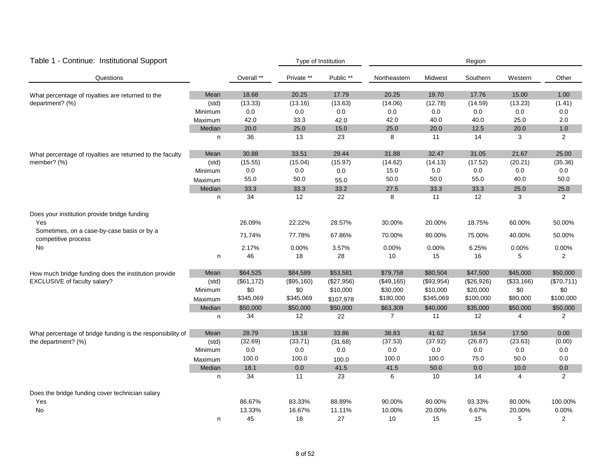| Table 1 - Continue: Institutional Support                         |         |            |            | Type of Institution |              | Region     |            |            |                |  |  |
|-------------------------------------------------------------------|---------|------------|------------|---------------------|--------------|------------|------------|------------|----------------|--|--|
| Questions                                                         |         | Overall ** | Private ** | Public **           | Northeastern | Midwest    | Southern   | Western    | Other          |  |  |
| What percentage of royalties are returned to the                  | Mean    | 18.68      | 20.25      | 17.79               | 20.25        | 19.70      | 17.76      | 15.00      | 1.00           |  |  |
| department? (%)                                                   | (std)   | (13.33)    | (13.16)    | (13.63)             | (14.06)      | (12.78)    | (14.59)    | (13.23)    | (1.41)         |  |  |
|                                                                   | Minimum | 0.0        | 0.0        | 0.0                 | 0.0          | 0.0        | 0.0        | 0.0        | 0.0            |  |  |
|                                                                   | Maximum | 42.0       | 33.3       | 42.0                | 42.0         | 40.0       | 40.0       | 25.0       | 2.0            |  |  |
|                                                                   | Median  | 20.0       | 25.0       | 15.0                | 25.0         | 20.0       | 12.5       | 20.0       | $1.0\,$        |  |  |
|                                                                   | n       | 36         | 13         | 23                  | 8            | 11         | 14         | 3          | 2              |  |  |
| What percentage of royalties are returned to the faculty          | Mean    | 30.88      | 33.51      | 29.44               | 31.88        | 32.47      | 31.05      | 21.67      | 25.00          |  |  |
| member? (%)                                                       | (std)   | (15.55)    | (15.04)    | (15.97)             | (14.62)      | (14.13)    | (17.52)    | (20.21)    | (35.36)        |  |  |
|                                                                   | Minimum | 0.0        | 0.0        | 0.0                 | 15.0         | 5.0        | 0.0        | 0.0        | 0.0            |  |  |
|                                                                   | Maximum | 55.0       | 50.0       | 55.0                | 50.0         | 50.0       | 55.0       | 40.0       | 50.0           |  |  |
|                                                                   | Median  | 33.3       | 33.3       | 33.2                | 27.5         | 33.3       | 33.3       | 25.0       | 25.0           |  |  |
|                                                                   | n       | 34         | 12         | 22                  | 8            | 11         | 12         | 3          | $\overline{2}$ |  |  |
| Does your institution provide bridge funding                      |         |            |            |                     |              |            |            |            |                |  |  |
| Yes                                                               |         | 26.09%     | 22.22%     | 28.57%              | 30.00%       | 20.00%     | 18.75%     | 60.00%     | 50.00%         |  |  |
| Sometimes, on a case-by-case basis or by a<br>competitive process |         | 71.74%     | 77.78%     | 67.86%              | 70.00%       | 80.00%     | 75.00%     | 40.00%     | 50.00%         |  |  |
| <b>No</b>                                                         |         | 2.17%      | 0.00%      | 3.57%               | 0.00%        | 0.00%      | 6.25%      | 0.00%      | 0.00%          |  |  |
|                                                                   | n       | 46         | 18         | 28                  | 10           | 15         | 16         | 5          | $\overline{2}$ |  |  |
| How much bridge funding does the institution provide              | Mean    | \$64,525   | \$84,589   | \$53,581            | \$79,758     | \$80,504   | \$47,500   | \$45,000   | \$50,000       |  |  |
| EXCLUSIVE of faculty salary?                                      | (std)   | (\$61,172) | (\$95,160) | (\$27,956)          | (\$49,165)   | (\$93,954) | (\$26,926) | (\$33,166) | (\$70,711)     |  |  |
|                                                                   | Minimum | \$0        | \$0        | \$10,000            | \$30,000     | \$10,000   | \$20,000   | \$0        | \$0            |  |  |
|                                                                   | Maximum | \$345,069  | \$345,069  | \$107,978           | \$180,000    | \$345,069  | \$100,000  | \$80,000   | \$100,000      |  |  |
|                                                                   | Median  | \$50,000   | \$50,000   | \$50,000            | \$63,309     | \$40,000   | \$35,000   | \$50,000   | \$50,000       |  |  |
|                                                                   | n       | 34         | 12         | 22                  | 7            | 11         | 12         | 4          | $\overline{2}$ |  |  |
| What percentage of bridge funding is the responsibility of        | Mean    | 28.79      | 18.18      | 33.86               | 38.83        | 41.62      | 18.54      | 17.50      | 0.00           |  |  |
| the department? (%)                                               | (std)   | (32.69)    | (33.71)    | (31.68)             | (37.53)      | (37.92)    | (26.87)    | (23.63)    | (0.00)         |  |  |
|                                                                   | Minimum | 0.0        | 0.0        | 0.0                 | 0.0          | 0.0        | 0.0        | 0.0        | 0.0            |  |  |
|                                                                   | Maximum | 100.0      | 100.0      | 100.0               | 100.0        | 100.0      | 75.0       | 50.0       | $0.0\,$        |  |  |
|                                                                   | Median  | 18.1       | 0.0        | 41.5                | 41.5         | 50.0       | 0.0        | 10.0       | $0.0\,$        |  |  |
|                                                                   | n       | 34         | 11         | 23                  | 6            | 10         | 14         | 4          | $\overline{2}$ |  |  |
| Does the bridge funding cover technician salary                   |         |            |            |                     |              |            |            |            |                |  |  |
| Yes                                                               |         | 86.67%     | 83.33%     | 88.89%              | 90.00%       | 80.00%     | 93.33%     | 80.00%     | 100.00%        |  |  |
| <b>No</b>                                                         |         | 13.33%     | 16.67%     | 11.11%              | 10.00%       | 20.00%     | 6.67%      | 20.00%     | 0.00%          |  |  |
|                                                                   | n       | 45         | 18         | 27                  | 10           | 15         | 15         | 5          | $\overline{2}$ |  |  |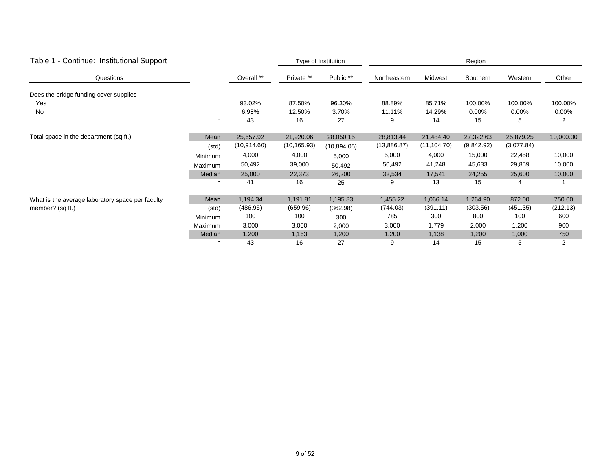| Table 1 - Continue: Institutional Support        |         | Type of Institution |              |              | Region       |              |            |            |                |  |
|--------------------------------------------------|---------|---------------------|--------------|--------------|--------------|--------------|------------|------------|----------------|--|
| Questions                                        |         | Overall **          | Private **   | Public **    | Northeastern | Midwest      | Southern   | Western    | Other          |  |
| Does the bridge funding cover supplies           |         |                     |              |              |              |              |            |            |                |  |
| Yes                                              |         | 93.02%              | 87.50%       | 96.30%       | 88.89%       | 85.71%       | 100.00%    | 100.00%    | 100.00%        |  |
| No                                               |         | 6.98%               | 12.50%       | 3.70%        | 11.11%       | 14.29%       | $0.00\%$   | 0.00%      | 0.00%          |  |
|                                                  | n       | 43                  | 16           | 27           | 9            | 14           | 15         | 5          | 2              |  |
| Total space in the department (sq ft.)           | Mean    | 25,657.92           | 21,920.06    | 28,050.15    | 28,813.44    | 21,484.40    | 27,322.63  | 25,879.25  | 10,000.00      |  |
|                                                  | (std)   | (10, 914.60)        | (10, 165.93) | (10, 894.05) | (13,886.87)  | (11, 104.70) | (9,842.92) | (3,077.84) |                |  |
|                                                  | Minimum | 4,000               | 4,000        | 5,000        | 5,000        | 4,000        | 15,000     | 22,458     | 10,000         |  |
|                                                  | Maximum | 50,492              | 39,000       | 50,492       | 50,492       | 41,248       | 45,633     | 29,859     | 10,000         |  |
|                                                  | Median  | 25,000              | 22,373       | 26,200       | 32,534       | 17,541       | 24,255     | 25,600     | 10,000         |  |
|                                                  | n       | 41                  | 16           | 25           | 9            | 13           | 15         | 4          |                |  |
| What is the average laboratory space per faculty | Mean    | 1,194.34            | 1,191.81     | 1,195.83     | 1,455.22     | 1,066.14     | 1,264.90   | 872.00     | 750.00         |  |
| member? (sq ft.)                                 | (std)   | (486.95)            | (659.96)     | (362.98)     | (744.03)     | (391.11)     | (303.56)   | (451.35)   | (212.13)       |  |
|                                                  | Minimum | 100                 | 100          | 300          | 785          | 300          | 800        | 100        | 600            |  |
|                                                  | Maximum | 3,000               | 3,000        | 2,000        | 3,000        | 1,779        | 2,000      | 1,200      | 900            |  |
|                                                  | Median  | 1,200               | 1,163        | 1,200        | 1,200        | 1,138        | 1,200      | 1,000      | 750            |  |
|                                                  | n       | 43                  | 16           | 27           | 9            | 14           | 15         | 5          | $\overline{2}$ |  |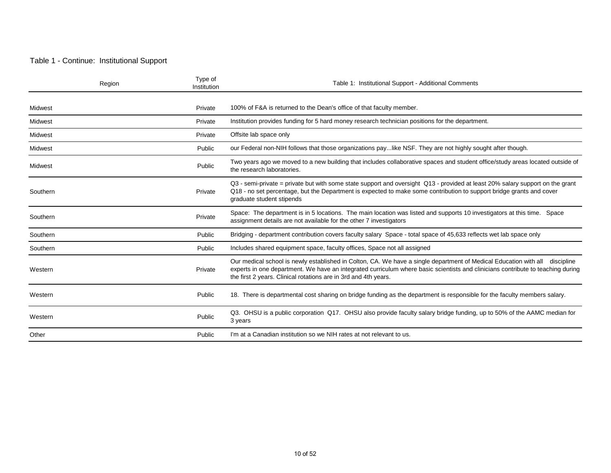#### Table 1 - Continue: Institutional Support

| Region   | Type of<br>Institution | Table 1: Institutional Support - Additional Comments                                                                                                                                                                                                                                                                              |
|----------|------------------------|-----------------------------------------------------------------------------------------------------------------------------------------------------------------------------------------------------------------------------------------------------------------------------------------------------------------------------------|
| Midwest  | Private                | 100% of F&A is returned to the Dean's office of that faculty member.                                                                                                                                                                                                                                                              |
| Midwest  | Private                | Institution provides funding for 5 hard money research technician positions for the department.                                                                                                                                                                                                                                   |
| Midwest  | Private                | Offsite lab space only                                                                                                                                                                                                                                                                                                            |
| Midwest  | Public                 | our Federal non-NIH follows that those organizations paylike NSF. They are not highly sought after though.                                                                                                                                                                                                                        |
| Midwest  | Public                 | Two years ago we moved to a new building that includes collaborative spaces and student office/study areas located outside of<br>the research laboratories.                                                                                                                                                                       |
| Southern | Private                | Q3 - semi-private = private but with some state support and oversight Q13 - provided at least 20% salary support on the grant<br>Q18 - no set percentage, but the Department is expected to make some contribution to support bridge grants and cover<br>graduate student stipends                                                |
| Southern | Private                | Space: The department is in 5 locations. The main location was listed and supports 10 investigators at this time. Space<br>assignment details are not available for the other 7 investigators                                                                                                                                     |
| Southern | Public                 | Bridging - department contribution covers faculty salary Space - total space of 45,633 reflects wet lab space only                                                                                                                                                                                                                |
| Southern | Public                 | Includes shared equipment space, faculty offices, Space not all assigned                                                                                                                                                                                                                                                          |
| Western  | Private                | Our medical school is newly established in Colton, CA. We have a single department of Medical Education with all discipline<br>experts in one department. We have an integrated curriculum where basic scientists and clinicians contribute to teaching during<br>the first 2 years. Clinical rotations are in 3rd and 4th years. |
| Western  | Public                 | 18. There is departmental cost sharing on bridge funding as the department is responsible for the faculty members salary.                                                                                                                                                                                                         |
| Western  | Public                 | Q3. OHSU is a public corporation Q17. OHSU also provide faculty salary bridge funding, up to 50% of the AAMC median for<br>3 years                                                                                                                                                                                                |
| Other    | Public                 | I'm at a Canadian institution so we NIH rates at not relevant to us.                                                                                                                                                                                                                                                              |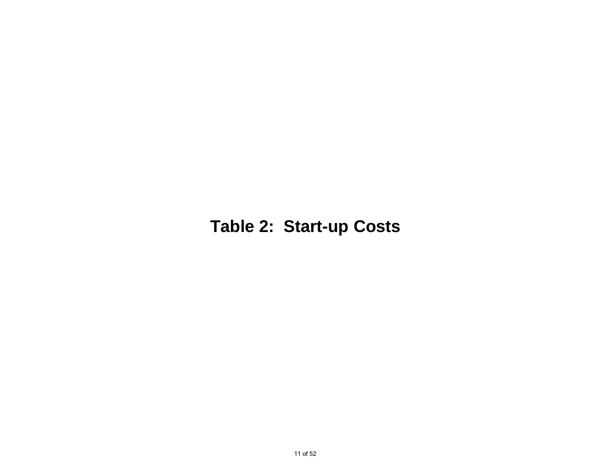## **Table 2: Start-up Costs**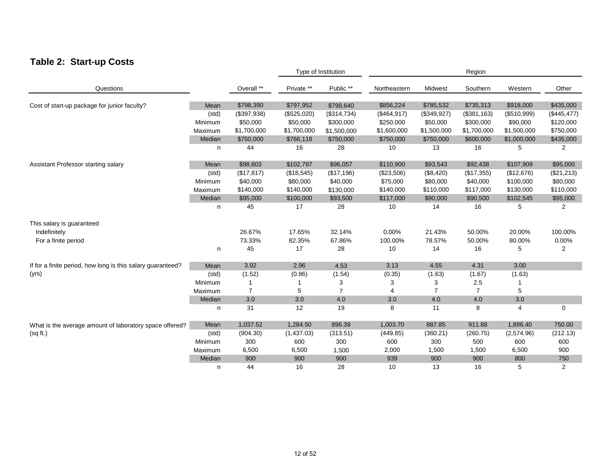### **Table 2: Start-up Costs**

|                                                             |         |                |             | Type of Institution |              | Region         |                |             |                |  |  |
|-------------------------------------------------------------|---------|----------------|-------------|---------------------|--------------|----------------|----------------|-------------|----------------|--|--|
| Questions                                                   |         | Overall **     | Private **  | Public **           | Northeastern | Midwest        | Southern       | Western     | Other          |  |  |
| Cost of start-up package for junior faculty?                | Mean    | \$798,390      | \$797,952   | \$798,640           | \$856,224    | \$785,532      | \$735,313      | \$918,000   | \$435,000      |  |  |
|                                                             | (std)   | (\$397,938)    | (\$525,020) | (\$314,734)         | (\$464,917)  | (\$349,927)    | (\$381,163)    | (\$510,999) | (\$445, 477)   |  |  |
|                                                             | Minimum | \$50,000       | \$50,000    | \$300,000           | \$250,000    | \$50,000       | \$300,000      | \$90,000    | \$120,000      |  |  |
|                                                             | Maximum | \$1,700,000    | \$1,700,000 | \$1,500,000         | \$1,600,000  | \$1,500,000    | \$1,700,000    | \$1,500,000 | \$750,000      |  |  |
|                                                             | Median  | \$750,000      | \$766,118   | \$750,000           | \$750,000    | \$750,000      | \$600,000      | \$1,000,000 | \$435,000      |  |  |
|                                                             | n       | 44             | 16          | 28                  | 10           | 13             | 16             | 5           | $\overline{2}$ |  |  |
| Assistant Professor starting salary                         | Mean    | \$98,603       | \$102,797   | \$96,057            | \$110,900    | \$93,543       | \$92,438       | \$107,909   | \$95,000       |  |  |
|                                                             | (std)   | (\$17,817)     | (\$18,545)  | (\$17,196)          | (\$23,506)   | (\$8,420)      | (\$17,355)     | (\$12,676)  | (\$21,213)     |  |  |
|                                                             | Minimum | \$40,000       | \$80,000    | \$40,000            | \$75,000     | \$80,000       | \$40,000       | \$100,000   | \$80,000       |  |  |
|                                                             | Maximum | \$140,000      | \$140,000   | \$130,000           | \$140,000    | \$110,000      | \$117,000      | \$130,000   | \$110,000      |  |  |
|                                                             | Median  | \$95,000       | \$100,000   | \$93,500            | \$117,000    | \$90,000       | \$90,500       | \$102,545   | \$95,000       |  |  |
|                                                             | n       | 45             | 17          | 28                  | 10           | 14             | 16             | 5           | 2              |  |  |
| This salary is guaranteed                                   |         |                |             |                     |              |                |                |             |                |  |  |
| Indefinitely                                                |         | 26.67%         | 17.65%      | 32.14%              | 0.00%        | 21.43%         | 50.00%         | 20.00%      | 100.00%        |  |  |
| For a finite period                                         |         | 73.33%         | 82.35%      | 67.86%              | 100.00%      | 78.57%         | 50.00%         | 80.00%      | 0.00%          |  |  |
|                                                             | n       | 45             | 17          | 28                  | 10           | 14             | 16             | 5           | 2              |  |  |
| If for a finite period, how long is this salary guaranteed? | Mean    | 3.92           | 2.96        | 4.53                | 3.13         | 4.55           | 4.31           | 3.00        |                |  |  |
| (yrs)                                                       | (std)   | (1.52)         | (0.86)      | (1.54)              | (0.35)       | (1.63)         | (1.67)         | (1.63)      |                |  |  |
|                                                             | Minimum |                |             | 3                   | 3            | 3              | 2.5            |             |                |  |  |
|                                                             | Maximum | $\overline{7}$ | 5           | $\overline{7}$      | 4            | $\overline{7}$ | $\overline{7}$ | 5           |                |  |  |
|                                                             | Median  | 3.0            | 3.0         | 4.0                 | 3.0          | 4.0            | 4.0            | 3.0         |                |  |  |
|                                                             | n       | 31             | 12          | 19                  | 8            | 11             | 8              | 4           | 0              |  |  |
| What is the average amount of laboratory space offered?     | Mean    | 1,037.52       | 1,284.50    | 896.39              | 1,003.70     | 887.85         | 911.88         | 1,896.40    | 750.00         |  |  |
| (sq ft.)                                                    | (std)   | (904.30)       | (1,437.03)  | (313.51)            | (449.85)     | (360.21)       | (260.75)       | (2,574.96)  | (212.13)       |  |  |
|                                                             | Minimum | 300            | 600         | 300                 | 600          | 300            | 500            | 600         | 600            |  |  |
|                                                             | Maximum | 6,500          | 6,500       | 1,500               | 2,000        | 1,500          | 1,500          | 6,500       | 900            |  |  |
|                                                             | Median  | 900            | 900         | 900                 | 939          | 900            | 900            | 800         | 750            |  |  |
|                                                             | n       | 44             | 16          | 28                  | 10           | 13             | 16             | 5           | $\overline{2}$ |  |  |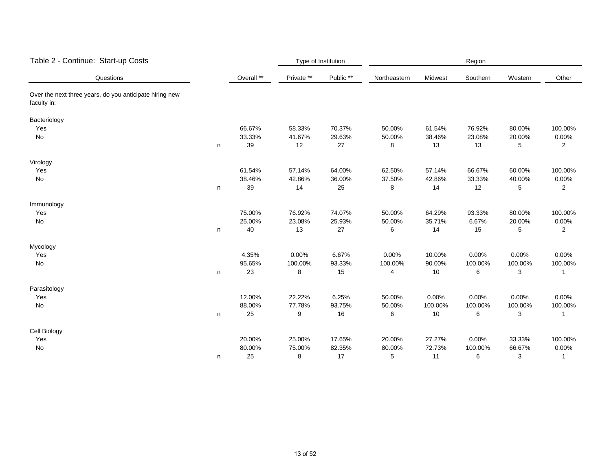| Table 2 - Continue: Start-up Costs                                     |   |            | Type of Institution |           | Region       |         |          |         |                |  |
|------------------------------------------------------------------------|---|------------|---------------------|-----------|--------------|---------|----------|---------|----------------|--|
| Questions                                                              |   | Overall ** | Private **          | Public ** | Northeastern | Midwest | Southern | Western | Other          |  |
| Over the next three years, do you anticipate hiring new<br>faculty in: |   |            |                     |           |              |         |          |         |                |  |
| Bacteriology                                                           |   |            |                     |           |              |         |          |         |                |  |
| Yes                                                                    |   | 66.67%     | 58.33%              | 70.37%    | 50.00%       | 61.54%  | 76.92%   | 80.00%  | 100.00%        |  |
| No                                                                     |   | 33.33%     | 41.67%              | 29.63%    | 50.00%       | 38.46%  | 23.08%   | 20.00%  | 0.00%          |  |
|                                                                        | n | 39         | 12                  | 27        | 8            | 13      | 13       | 5       | $\overline{2}$ |  |
| Virology                                                               |   |            |                     |           |              |         |          |         |                |  |
| Yes                                                                    |   | 61.54%     | 57.14%              | 64.00%    | 62.50%       | 57.14%  | 66.67%   | 60.00%  | 100.00%        |  |
| No                                                                     |   | 38.46%     | 42.86%              | 36.00%    | 37.50%       | 42.86%  | 33.33%   | 40.00%  | 0.00%          |  |
|                                                                        | n | 39         | 14                  | 25        | 8            | 14      | 12       | 5       | $\overline{2}$ |  |
| Immunology                                                             |   |            |                     |           |              |         |          |         |                |  |
| Yes                                                                    |   | 75.00%     | 76.92%              | 74.07%    | 50.00%       | 64.29%  | 93.33%   | 80.00%  | 100.00%        |  |
| No                                                                     |   | 25.00%     | 23.08%              | 25.93%    | 50.00%       | 35.71%  | 6.67%    | 20.00%  | 0.00%          |  |
|                                                                        | n | 40         | 13                  | 27        | 6            | 14      | 15       | 5       | $\overline{2}$ |  |
| Mycology                                                               |   |            |                     |           |              |         |          |         |                |  |
| Yes                                                                    |   | 4.35%      | 0.00%               | 6.67%     | 0.00%        | 10.00%  | 0.00%    | 0.00%   | 0.00%          |  |
| No                                                                     |   | 95.65%     | 100.00%             | 93.33%    | 100.00%      | 90.00%  | 100.00%  | 100.00% | 100.00%        |  |
|                                                                        | n | 23         | 8                   | 15        | 4            | 10      | 6        | 3       |                |  |
| Parasitology                                                           |   |            |                     |           |              |         |          |         |                |  |
| Yes                                                                    |   | 12.00%     | 22.22%              | 6.25%     | 50.00%       | 0.00%   | 0.00%    | 0.00%   | 0.00%          |  |
| No                                                                     |   | 88.00%     | 77.78%              | 93.75%    | 50.00%       | 100.00% | 100.00%  | 100.00% | 100.00%        |  |
|                                                                        | n | 25         | 9                   | 16        | 6            | 10      | 6        | 3       |                |  |
| Cell Biology                                                           |   |            |                     |           |              |         |          |         |                |  |
| Yes                                                                    |   | 20.00%     | 25.00%              | 17.65%    | 20.00%       | 27.27%  | 0.00%    | 33.33%  | 100.00%        |  |
| No                                                                     |   | 80.00%     | 75.00%              | 82.35%    | 80.00%       | 72.73%  | 100.00%  | 66.67%  | 0.00%          |  |
|                                                                        | n | 25         | 8                   | 17        | 5            | 11      | 6        | 3       | 1              |  |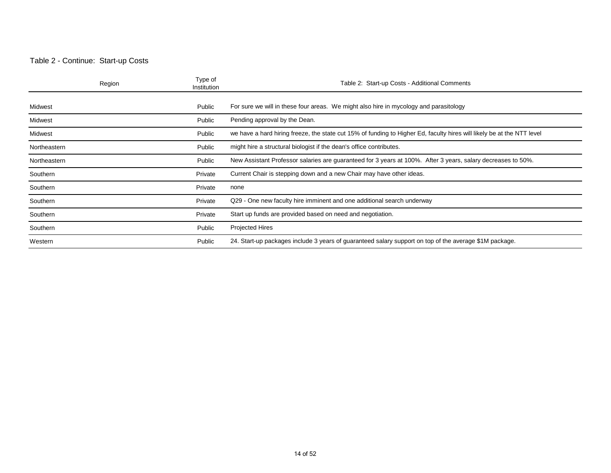#### Table 2 - Continue: Start-up Costs

|              | Region | Type of<br>Institution | Table 2: Start-up Costs - Additional Comments                                                                          |
|--------------|--------|------------------------|------------------------------------------------------------------------------------------------------------------------|
| Midwest      |        | Public                 | For sure we will in these four areas. We might also hire in mycology and parasitology                                  |
| Midwest      |        | Public                 | Pending approval by the Dean.                                                                                          |
| Midwest      |        | Public                 | we have a hard hiring freeze, the state cut 15% of funding to Higher Ed, faculty hires will likely be at the NTT level |
| Northeastern |        | Public                 | might hire a structural biologist if the dean's office contributes.                                                    |
| Northeastern |        | Public                 | New Assistant Professor salaries are guaranteed for 3 years at 100%. After 3 years, salary decreases to 50%.           |
| Southern     |        | Private                | Current Chair is stepping down and a new Chair may have other ideas.                                                   |
| Southern     |        | Private                | none                                                                                                                   |
| Southern     |        | Private                | Q29 - One new faculty hire imminent and one additional search underway                                                 |
| Southern     |        | Private                | Start up funds are provided based on need and negotiation.                                                             |
| Southern     |        | Public                 | <b>Projected Hires</b>                                                                                                 |
| Western      |        | Public                 | 24. Start-up packages include 3 years of guaranteed salary support on top of the average \$1M package.                 |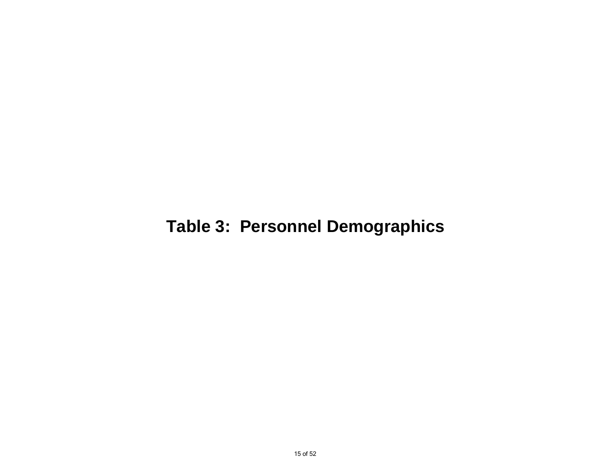## **Table 3: Personnel Demographics**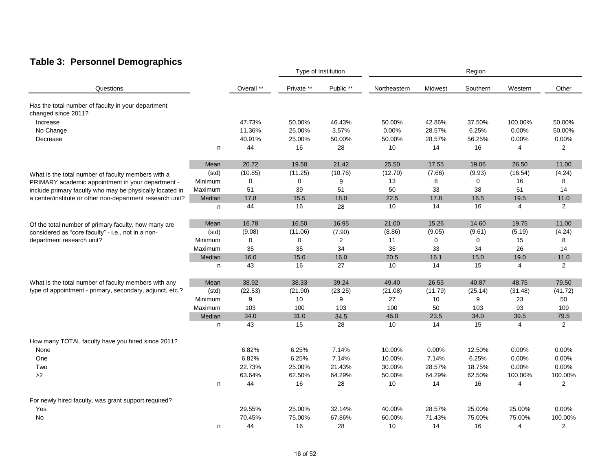### **Table 3: Personnel Demographics**

|                                                           |         |             | Type of Institution |           | Region       |             |          |                |                |
|-----------------------------------------------------------|---------|-------------|---------------------|-----------|--------------|-------------|----------|----------------|----------------|
| Questions                                                 |         | Overall **  | Private **          | Public ** | Northeastern | Midwest     | Southern | Western        | Other          |
| Has the total number of faculty in your department        |         |             |                     |           |              |             |          |                |                |
| changed since 2011?                                       |         |             |                     |           |              |             |          |                |                |
| Increase                                                  |         | 47.73%      | 50.00%              | 46.43%    | 50.00%       | 42.86%      | 37.50%   | 100.00%        | 50.00%         |
| No Change                                                 |         | 11.36%      | 25.00%              | 3.57%     | 0.00%        | 28.57%      | 6.25%    | 0.00%          | 50.00%         |
| Decrease                                                  |         | 40.91%      | 25.00%              | 50.00%    | 50.00%       | 28.57%      | 56.25%   | 0.00%          | 0.00%          |
|                                                           | n       | 44          | 16                  | 28        | 10           | 14          | 16       | 4              | $\overline{2}$ |
|                                                           | Mean    | 20.72       | 19.50               | 21.42     | 25.50        | 17.55       | 19.06    | 26.50          | 11.00          |
| What is the total number of faculty members with a        | (std)   | (10.85)     | (11.25)             | (10.76)   | (12.70)      | (7.66)      | (9.93)   | (16.54)        | (4.24)         |
| PRIMARY academic appointment in your department -         | Minimum | 0           | 0                   | 9         | 13           | 8           | 0        | 16             | 8              |
| include primary faculty who may be physically located in  | Maximum | 51          | 39                  | 51        | 50           | 33          | 38       | 51             | 14             |
| a center/institute or other non-department research unit? | Median  | 17.8        | 15.5                | 18.0      | 22.5         | 17.8        | 16.5     | 19.5           | 11.0           |
|                                                           | n       | 44          | 16                  | 28        | 10           | 14          | 16       | 4              | $\overline{2}$ |
| Of the total number of primary faculty, how many are      | Mean    | 16.78       | 16.50               | 16.95     | 21.00        | 15.26       | 14.60    | 19.75          | 11.00          |
| considered as "core faculty" - i.e., not in a non-        | (std)   | (9.08)      | (11.06)             | (7.90)    | (8.86)       | (9.05)      | (9.61)   | (5.19)         | (4.24)         |
| department research unit?                                 | Minimum | $\mathbf 0$ | 0                   | 2         | 11           | $\mathbf 0$ | 0        | 15             | 8              |
|                                                           | Maximum | 35          | 35                  | 34        | 35           | 33          | 34       | 26             | 14             |
|                                                           | Median  | 16.0        | 15.0                | 16.0      | 20.5         | 16.1        | 15.0     | 19.0           | 11.0           |
|                                                           | n       | 43          | 16                  | 27        | 10           | 14          | 15       | 4              | $\overline{2}$ |
| What is the total number of faculty members with any      | Mean    | 38.92       | 38.33               | 39.24     | 49.40        | 26.55       | 40.87    | 48.75          | 79.50          |
| type of appointment - primary, secondary, adjunct, etc.?  | (std)   | (22.53)     | (21.90)             | (23.25)   | (21.08)      | (11.79)     | (25.14)  | (31.48)        | (41.72)        |
|                                                           | Minimum | 9           | 10                  | 9         | 27           | 10          | 9        | 23             | 50             |
|                                                           | Maximum | 103         | 100                 | 103       | 100          | 50          | 103      | 93             | 109            |
|                                                           | Median  | 34.0        | 31.0                | 34.5      | 46.0         | 23.5        | 34.0     | 39.5           | 79.5           |
|                                                           | n       | 43          | 15                  | 28        | 10           | 14          | 15       | $\overline{4}$ | $\overline{2}$ |
| How many TOTAL faculty have you hired since 2011?         |         |             |                     |           |              |             |          |                |                |
| None                                                      |         | 6.82%       | 6.25%               | 7.14%     | 10.00%       | 0.00%       | 12.50%   | 0.00%          | 0.00%          |
| One                                                       |         | 6.82%       | 6.25%               | 7.14%     | 10.00%       | 7.14%       | 6.25%    | 0.00%          | 0.00%          |
| Two                                                       |         | 22.73%      | 25.00%              | 21.43%    | 30.00%       | 28.57%      | 18.75%   | 0.00%          | 0.00%          |
| $>2$                                                      |         | 63.64%      | 62.50%              | 64.29%    | 50.00%       | 64.29%      | 62.50%   | 100.00%        | 100.00%        |
|                                                           | n       | 44          | 16                  | 28        | 10           | 14          | 16       | 4              | $\overline{2}$ |
| For newly hired faculty, was grant support required?      |         |             |                     |           |              |             |          |                |                |
| Yes                                                       |         | 29.55%      | 25.00%              | 32.14%    | 40.00%       | 28.57%      | 25.00%   | 25.00%         | 0.00%          |
| No                                                        |         | 70.45%      | 75.00%              | 67.86%    | 60.00%       | 71.43%      | 75.00%   | 75.00%         | 100.00%        |
|                                                           | n       | 44          | 16                  | 28        | 10           | 14          | 16       | $\overline{4}$ | $\overline{2}$ |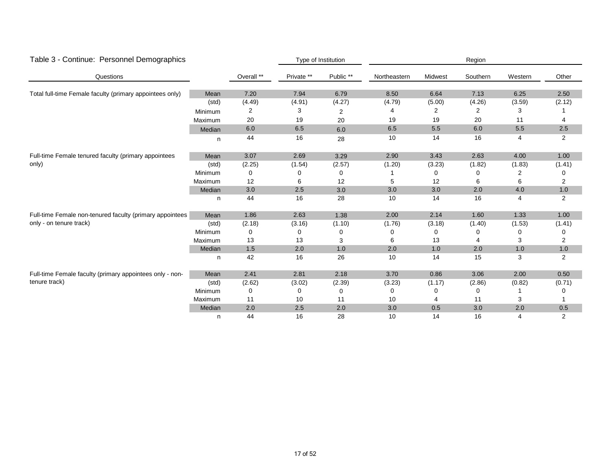| Table 3 - Continue: Personnel Demographics                    |         |            | Type of Institution |           | Region       |         |          |         |                |  |
|---------------------------------------------------------------|---------|------------|---------------------|-----------|--------------|---------|----------|---------|----------------|--|
| Questions                                                     |         | Overall ** | Private **          | Public ** | Northeastern | Midwest | Southern | Western | Other          |  |
| Total full-time Female faculty (primary appointees only)      | Mean    | 7.20       | 7.94                | 6.79      | 8.50         | 6.64    | 7.13     | 6.25    | 2.50           |  |
|                                                               | (std)   | (4.49)     | (4.91)              | (4.27)    | (4.79)       | (5.00)  | (4.26)   | (3.59)  | (2.12)         |  |
|                                                               | Minimum | 2          | 3                   | 2         |              | 2       | 2        | 3       |                |  |
|                                                               | Maximum | 20         | 19                  | 20        | 19           | 19      | 20       | 11      | 4              |  |
|                                                               | Median  | 6.0        | 6.5                 | 6.0       | 6.5          | 5.5     | 6.0      | 5.5     | 2.5            |  |
|                                                               | n       | 44         | 16                  | 28        | 10           | 14      | 16       | 4       | 2              |  |
| Full-time Female tenured faculty (primary appointees<br>only) | Mean    | 3.07       | 2.69                | 3.29      | 2.90         | 3.43    | 2.63     | 4.00    | 1.00           |  |
|                                                               | (std)   | (2.25)     | (1.54)              | (2.57)    | (1.20)       | (3.23)  | (1.82)   | (1.83)  | (1.41)         |  |
|                                                               | Minimum | 0          |                     | 0         |              | 0       | 0        | 2       | 0              |  |
|                                                               | Maximum | 12         | 6                   | 12        | 5            | 12      | 6        | 6       | $\overline{2}$ |  |
|                                                               | Median  | 3.0        | 2.5                 | 3.0       | 3.0          | 3.0     | 2.0      | 4.0     | 1.0            |  |
|                                                               | n.      | 44         | 16                  | 28        | 10           | 14      | 16       | 4       | 2              |  |
| Full-time Female non-tenured faculty (primary appointees      | Mean    | 1.86       | 2.63                | 1.38      | 2.00         | 2.14    | 1.60     | 1.33    | 1.00           |  |
| only - on tenure track)                                       | (std)   | (2.18)     | (3.16)              | (1.10)    | (1.76)       | (3.18)  | (1.40)   | (1.53)  | (1.41)         |  |
|                                                               | Minimum | 0          | 0                   | 0         | 0            | 0       | 0        | 0       | 0              |  |
|                                                               | Maximum | 13         | 13                  | 3         | 6            | 13      |          | 3       | 2              |  |
|                                                               | Median  | $1.5$      | 2.0                 | 1.0       | 2.0          | 1.0     | 2.0      | 1.0     | 1.0            |  |
|                                                               | n       | 42         | 16                  | 26        | 10           | 14      | 15       | 3       | $\overline{2}$ |  |
| Full-time Female faculty (primary appointees only - non-      | Mean    | 2.41       | 2.81                | 2.18      | 3.70         | 0.86    | 3.06     | 2.00    | 0.50           |  |
| tenure track)                                                 | (std)   | (2.62)     | (3.02)              | (2.39)    | (3.23)       | (1.17)  | (2.86)   | (0.82)  | (0.71)         |  |
|                                                               | Minimum | 0          | O                   | 0         | $\Omega$     | 0       | $\Omega$ |         | 0              |  |
|                                                               | Maximum | 11         | 10                  | 11        | 10           | 4       | 11       | 3       |                |  |
|                                                               | Median  | 2.0        | 2.5                 | 2.0       | 3.0          | 0.5     | 3.0      | 2.0     | 0.5            |  |
|                                                               | n       | 44         | 16                  | 28        | 10           | 14      | 16       | 4       | 2              |  |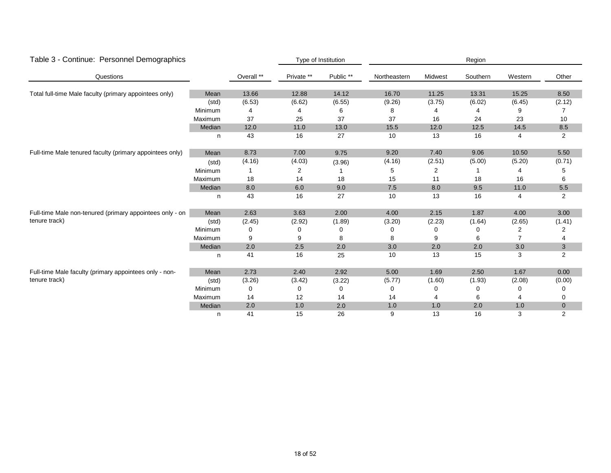| Table 3 - Continue: Personnel Demographics               |                                           |            |            | Type of Institution  |              |         | Region   |                |                |
|----------------------------------------------------------|-------------------------------------------|------------|------------|----------------------|--------------|---------|----------|----------------|----------------|
| Questions                                                |                                           | Overall ** | Private ** | Public <sup>**</sup> | Northeastern | Midwest | Southern | Western        | Other          |
| Total full-time Male faculty (primary appointees only)   | Mean                                      | 13.66      | 12.88      | 14.12                | 16.70        | 11.25   | 13.31    | 15.25          | 8.50           |
|                                                          | (std)                                     | (6.53)     | (6.62)     | (6.55)               | (9.26)       | (3.75)  | (6.02)   | (6.45)         | (2.12)         |
|                                                          | Minimum                                   | 4          |            | 6                    | 8            | 4       |          | 9              |                |
|                                                          | Maximum                                   | 37         | 25         | 37                   | 37           | 16      | 24       | 23             | 10             |
|                                                          | Median                                    | 12.0       | 11.0       | 13.0                 | 15.5         | 12.0    | 12.5     | 14.5           | 8.5            |
|                                                          | n                                         | 43         | 16         | 27                   | 10           | 13      | 16       | 4              | $\overline{2}$ |
| Full-time Male tenured faculty (primary appointees only) | Mean                                      | 8.73       | 7.00       | 9.75                 | 9.20         | 7.40    | 9.06     | 10.50          | 5.50           |
|                                                          | (std)                                     | (4.16)     | (4.03)     | (3.96)               | (4.16)       | (2.51)  | (5.00)   | (5.20)         | (0.71)         |
|                                                          | Minimum                                   |            | 2          |                      | 5            | 2       |          |                | 5              |
|                                                          | Maximum                                   | 18         | 14         | 18                   | 15           | 11      | 18       | 16             | 6              |
|                                                          | Median<br>8.0<br>6.0<br>9.0<br>7.5<br>8.0 | 9.5        | 11.0       | 5.5                  |              |         |          |                |                |
|                                                          | n                                         | 43         | 16         | 27                   | 10           | 13      | 16       | 4              | $\overline{2}$ |
| Full-time Male non-tenured (primary appointees only - on | Mean                                      | 2.63       | 3.63       | 2.00                 | 4.00         | 2.15    | 1.87     | 4.00           | 3.00           |
| tenure track)                                            | (std)                                     | (2.45)     | (2.92)     | (1.89)               | (3.20)       | (2.23)  | (1.64)   | (2.65)         | (1.41)         |
|                                                          | Minimum                                   | 0          | 0          | 0                    | 0            | 0       | 0        | 2              | 2              |
|                                                          | Maximum                                   | 9          | 9          | 8                    | 8            | 9       | 6        | $\overline{7}$ | 4              |
|                                                          | Median                                    | 2.0        | 2.5        | 2.0                  | 3.0          | 2.0     | 2.0      | 3.0            | 3              |
|                                                          | n                                         | 41         | 16         | 25                   | 10           | 13      | 15       | 3              | $\overline{2}$ |
| Full-time Male faculty (primary appointees only - non-   | Mean                                      | 2.73       | 2.40       | 2.92                 | 5.00         | 1.69    | 2.50     | 1.67           | 0.00           |
| tenure track)                                            | (std)                                     | (3.26)     | (3.42)     | (3.22)               | (5.77)       | (1.60)  | (1.93)   | (2.08)         | (0.00)         |
|                                                          | Minimum                                   | 0          | $\Omega$   | 0                    | $\mathbf 0$  | 0       | 0        | 0              | 0              |
|                                                          | Maximum                                   | 14         | 12         | 14                   | 14           |         | 6        |                | 0              |
|                                                          | Median                                    | 2.0        | 1.0        | 2.0                  | 1.0          | 1.0     | 2.0      | 1.0            | $\mathbf 0$    |
|                                                          | n                                         | 41         | 15         | 26                   | 9            | 13      | 16       | 3              | 2              |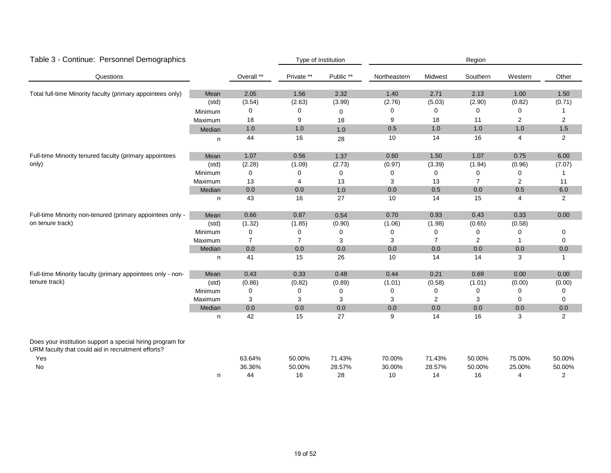| Table 3 - Continue: Personnel Demographics                                                                       |         |                | Type of Institution |           |              |                | Region         |                |                |
|------------------------------------------------------------------------------------------------------------------|---------|----------------|---------------------|-----------|--------------|----------------|----------------|----------------|----------------|
| Questions                                                                                                        |         | Overall **     | Private **          | Public ** | Northeastern | Midwest        | Southern       | Western        | Other          |
| Total full-time Minority faculty (primary appointees only)                                                       | Mean    | 2.05           | 1.56                | 2.32      | 1.40         | 2.71           | 2.13           | 1.00           | 1.50           |
|                                                                                                                  | (std)   | (3.54)         | (2.63)              | (3.99)    | (2.76)       | (5.03)         | (2.90)         | (0.82)         | (0.71)         |
|                                                                                                                  | Minimum | 0              | $\Omega$            | 0         | 0            | 0              | 0              | 0              | 1              |
|                                                                                                                  | Maximum | 18             | 9                   | 18        | 9            | 18             | 11             | $\overline{2}$ | 2              |
|                                                                                                                  | Median  | 1.0            | 1.0                 | $1.0$     | 0.5          | 1.0            | 1.0            | 1.0            | 1.5            |
|                                                                                                                  | n       | 44             | 16                  | 28        | 10           | 14             | 16             | 4              | $\overline{2}$ |
| Full-time Minority tenured faculty (primary appointees                                                           | Mean    | 1.07           | 0.56                | 1.37      | 0.60         | 1.50           | 1.07           | 0.75           | 6.00           |
| only)                                                                                                            | (std)   | (2.28)         | (1.09)              | (2.73)    | (0.97)       | (3.39)         | (1.94)         | (0.96)         | (7.07)         |
|                                                                                                                  | Minimum | 0              | 0                   | 0         | 0            | 0              | 0              | 0              |                |
|                                                                                                                  | Maximum | 13             | 4                   | 13        | 3            | 13             | $\overline{7}$ | $\overline{2}$ | 11             |
|                                                                                                                  | Median  | $0.0\,$        | $0.0\,$             | $1.0$     | 0.0          | 0.5            | 0.0            | 0.5            | 6.0            |
|                                                                                                                  | n       | 43             | 16                  | 27        | 10           | 14             | 15             | 4              | $\overline{2}$ |
| Full-time Minority non-tenured (primary appointees only -                                                        | Mean    | 0.66           | 0.87                | 0.54      | 0.70         | 0.93           | 0.43           | 0.33           | 0.00           |
| on tenure track)                                                                                                 | (std)   | (1.32)         | (1.85)              | (0.90)    | (1.06)       | (1.98)         | (0.65)         | (0.58)         |                |
|                                                                                                                  | Minimum | 0              | 0                   | 0         | 0            | 0              | $\Omega$       | 0              | 0              |
|                                                                                                                  | Maximum | $\overline{7}$ | $\overline{7}$      | 3         | 3            | $\overline{7}$ | 2              |                | 0              |
|                                                                                                                  | Median  | 0.0            | 0.0                 | 0.0       | 0.0          | 0.0            | 0.0            | 0.0            | 0.0            |
|                                                                                                                  | n       | 41             | 15                  | 26        | 10           | 14             | 14             | 3              | 1              |
| Full-time Minority faculty (primary appointees only - non-                                                       | Mean    | 0.43           | 0.33                | 0.48      | 0.44         | 0.21           | 0.69           | 0.00           | 0.00           |
| tenure track)                                                                                                    | (std)   | (0.86)         | (0.82)              | (0.89)    | (1.01)       | (0.58)         | (1.01)         | (0.00)         | (0.00)         |
|                                                                                                                  | Minimum | 0              | $\Omega$            | 0         | 0            | 0              | $\Omega$       | $\Omega$       | 0              |
|                                                                                                                  | Maximum | 3              | 3                   | 3         | 3            | 2              | 3              | 0              | 0              |
|                                                                                                                  | Median  | 0.0            | 0.0                 | 0.0       | 0.0          | $0.0\,$        | 0.0            | 0.0            | 0.0            |
|                                                                                                                  | n       | 42             | 15                  | 27        | 9            | 14             | 16             | 3              | $\overline{2}$ |
| Does your institution support a special hiring program for<br>URM faculty that could aid in recruitment efforts? |         |                |                     |           |              |                |                |                |                |
| Yes                                                                                                              |         | 63.64%         | 50.00%              | 71.43%    | 70.00%       | 71.43%         | 50.00%         | 75.00%         | 50.00%         |
| No                                                                                                               |         | 36.36%         | 50.00%              | 28.57%    | 30.00%       | 28.57%         | 50.00%         | 25.00%         | 50.00%         |
|                                                                                                                  | n       | 44             | 16                  | 28        | 10           | 14             | 16             | 4              | 2              |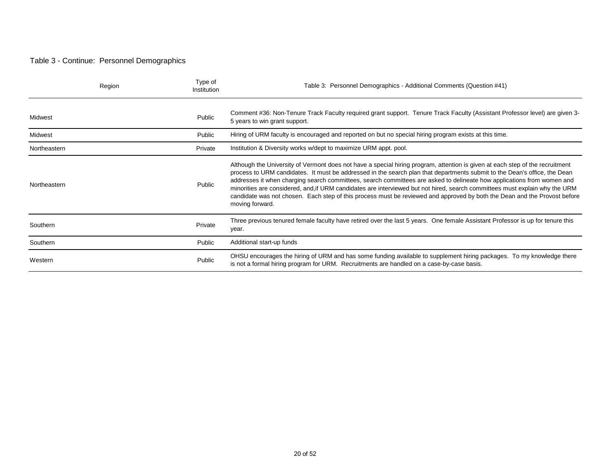#### Table 3 - Continue: Personnel Demographics

|              | Region | Type of<br>Institution | Table 3: Personnel Demographics - Additional Comments (Question #41)                                                                                                                                                                                                                                                                                                                                                                                                                                                                                                                                                                                               |
|--------------|--------|------------------------|--------------------------------------------------------------------------------------------------------------------------------------------------------------------------------------------------------------------------------------------------------------------------------------------------------------------------------------------------------------------------------------------------------------------------------------------------------------------------------------------------------------------------------------------------------------------------------------------------------------------------------------------------------------------|
| Midwest      |        | Public                 | Comment #36: Non-Tenure Track Faculty required grant support. Tenure Track Faculty (Assistant Professor level) are given 3-<br>5 years to win grant support.                                                                                                                                                                                                                                                                                                                                                                                                                                                                                                       |
| Midwest      |        | Public                 | Hiring of URM faculty is encouraged and reported on but no special hiring program exists at this time.                                                                                                                                                                                                                                                                                                                                                                                                                                                                                                                                                             |
| Northeastern |        | Private                | Institution & Diversity works w/dept to maximize URM appt. pool.                                                                                                                                                                                                                                                                                                                                                                                                                                                                                                                                                                                                   |
| Northeastern |        | Public                 | Although the University of Vermont does not have a special hiring program, attention is given at each step of the recruitment<br>process to URM candidates. It must be addressed in the search plan that departments submit to the Dean's office, the Dean<br>addresses it when charging search committees, search committees are asked to delineate how applications from women and<br>minorities are considered, and if URM candidates are interviewed but not hired, search committees must explain why the URM<br>candidate was not chosen. Each step of this process must be reviewed and approved by both the Dean and the Provost before<br>moving forward. |
| Southern     |        | Private                | Three previous tenured female faculty have retired over the last 5 years. One female Assistant Professor is up for tenure this<br>year.                                                                                                                                                                                                                                                                                                                                                                                                                                                                                                                            |
| Southern     |        | Public                 | Additional start-up funds                                                                                                                                                                                                                                                                                                                                                                                                                                                                                                                                                                                                                                          |
| Western      |        | Public                 | OHSU encourages the hiring of URM and has some funding available to supplement hiring packages. To my knowledge there<br>is not a formal hiring program for URM. Recruitments are handled on a case-by-case basis.                                                                                                                                                                                                                                                                                                                                                                                                                                                 |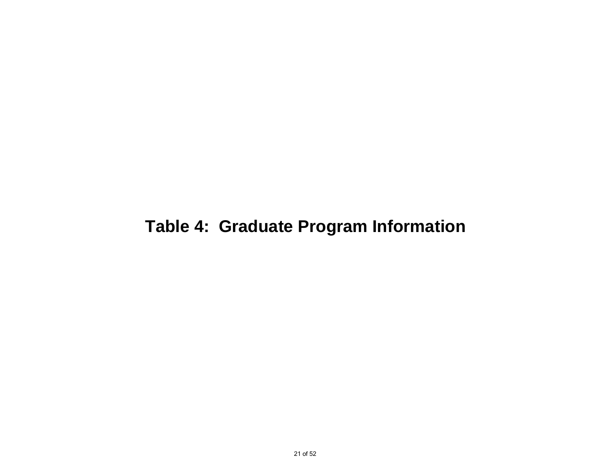## **Table 4: Graduate Program Information**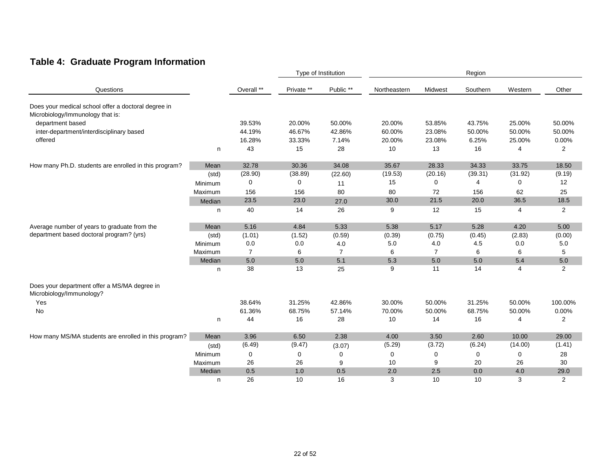### **Table 4: Graduate Program Information**

|                                                                                         |         |                |            | Type of Institution |              |                | Region      |         |                |  |
|-----------------------------------------------------------------------------------------|---------|----------------|------------|---------------------|--------------|----------------|-------------|---------|----------------|--|
| Questions                                                                               |         | Overall **     | Private ** | Public **           | Northeastern | Midwest        | Southern    | Western | Other          |  |
| Does your medical school offer a doctoral degree in<br>Microbiology/Immunology that is: |         |                |            |                     |              |                |             |         |                |  |
| department based                                                                        |         | 39.53%         | 20.00%     | 50.00%              | 20.00%       | 53.85%         | 43.75%      | 25.00%  | 50.00%         |  |
| inter-department/interdisciplinary based                                                |         | 44.19%         | 46.67%     | 42.86%              | 60.00%       | 23.08%         | 50.00%      | 50.00%  | 50.00%         |  |
| offered                                                                                 |         | 16.28%         | 33.33%     | 7.14%               | 20.00%       | 23.08%         | 6.25%       | 25.00%  | 0.00%          |  |
|                                                                                         | n       | 43             | 15         | 28                  | 10           | 13             | 16          | 4       | $\overline{2}$ |  |
| How many Ph.D. students are enrolled in this program?                                   | Mean    | 32.78          | 30.36      | 34.08               | 35.67        | 28.33          | 34.33       | 33.75   | 18.50          |  |
|                                                                                         | (std)   | (28.90)        | (38.89)    | (22.60)             | (19.53)      | (20.16)        | (39.31)     | (31.92) | (9.19)         |  |
|                                                                                         | Minimum | $\mathbf 0$    | $\Omega$   | 11                  | 15           | $\mathbf 0$    | 4           | 0       | 12             |  |
|                                                                                         | Maximum | 156            | 156        | 80                  | 80           | 72             | 156         | 62      | 25             |  |
|                                                                                         | Median  | 23.5           | 23.0       | 27.0                | 30.0         | 21.5           | 20.0        | 36.5    | 18.5           |  |
|                                                                                         | n       | 40             | 14         | 26                  | 9            | 12             | 15          | 4       | $\overline{2}$ |  |
| Average number of years to graduate from the                                            | Mean    | 5.16           | 4.84       | 5.33                | 5.38         | 5.17           | 5.28        | 4.20    | 5.00           |  |
| department based doctoral program? (yrs)                                                | (std)   | (1.01)         | (1.52)     | (0.59)              | (0.39)       | (0.75)         | (0.45)      | (2.83)  | (0.00)         |  |
|                                                                                         | Minimum | 0.0            | 0.0        | 4.0                 | 5.0          | 4.0            | 4.5         | 0.0     | 5.0            |  |
|                                                                                         | Maximum | $\overline{7}$ | 6          | $\overline{7}$      | 6            | $\overline{7}$ | 6           | 6       | 5              |  |
|                                                                                         | Median  | 5.0            | 5.0        | 5.1                 | 5.3          | 5.0            | 5.0         | 5.4     | 5.0            |  |
|                                                                                         | n.      | 38             | 13         | 25                  | 9            | 11             | 14          | 4       | $\overline{2}$ |  |
| Does your department offer a MS/MA degree in<br>Microbiology/Immunology?                |         |                |            |                     |              |                |             |         |                |  |
| Yes                                                                                     |         | 38.64%         | 31.25%     | 42.86%              | 30.00%       | 50.00%         | 31.25%      | 50.00%  | 100.00%        |  |
| No                                                                                      |         | 61.36%         | 68.75%     | 57.14%              | 70.00%       | 50.00%         | 68.75%      | 50.00%  | 0.00%          |  |
|                                                                                         | n       | 44             | 16         | 28                  | 10           | 14             | 16          | 4       | 2              |  |
| How many MS/MA students are enrolled in this program?                                   | Mean    | 3.96           | 6.50       | 2.38                | 4.00         | 3.50           | 2.60        | 10.00   | 29.00          |  |
|                                                                                         | (std)   | (6.49)         | (9.47)     | (3.07)              | (5.29)       | (3.72)         | (6.24)      | (14.00) | (1.41)         |  |
|                                                                                         | Minimum | 0              | 0          | 0                   | $\mathbf 0$  | 0              | $\mathbf 0$ | 0       | 28             |  |
|                                                                                         | Maximum | 26             | 26         | 9                   | 10           | 9              | 20          | 26      | 30             |  |
|                                                                                         | Median  | 0.5            | 1.0        | 0.5                 | 2.0          | 2.5            | 0.0         | 4.0     | 29.0           |  |
|                                                                                         | n       | 26             | 10         | 16                  | 3            | 10             | 10          | 3       | $\overline{2}$ |  |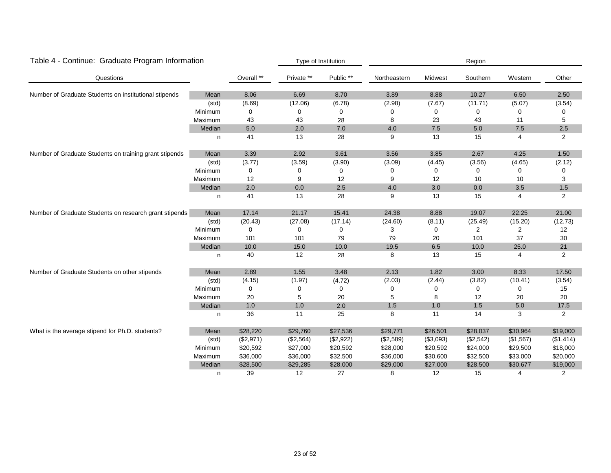| Table 4 - Continue: Graduate Program Information       |         |             |            | Type of Institution |              |                                      | Region<br>Southern<br>Other<br>Western<br>10.27<br>6.50<br>2.50<br>(11.71)<br>(5.07)<br>(3.54)<br>0<br>0<br>0<br>0<br>43<br>11<br>5<br>$5.0\,$<br>7.5<br>2.5<br>15<br>2<br>4 |                                                                                                                                                                                                            |                |  |  |  |
|--------------------------------------------------------|---------|-------------|------------|---------------------|--------------|--------------------------------------|------------------------------------------------------------------------------------------------------------------------------------------------------------------------------|------------------------------------------------------------------------------------------------------------------------------------------------------------------------------------------------------------|----------------|--|--|--|
| Questions                                              |         | Overall **  | Private ** | Public **           | Northeastern | Midwest                              |                                                                                                                                                                              |                                                                                                                                                                                                            |                |  |  |  |
| Number of Graduate Students on institutional stipends  | Mean    | 8.06        | 6.69       | 8.70                | 3.89         | 8.88                                 |                                                                                                                                                                              | 4.25<br>(4.65)<br>0<br>10<br>3.5<br>4<br>22.25<br>(15.20)<br>$\overline{2}$<br>37<br>25.0<br>4<br>8.33<br>(10.41)<br>0<br>20<br>5.0<br>3<br>\$30,964<br>(\$1,567)<br>\$29,500<br>\$33,000<br>\$30,677<br>4 |                |  |  |  |
|                                                        | (std)   | (8.69)      | (12.06)    | (6.78)              | (2.98)       |                                      |                                                                                                                                                                              |                                                                                                                                                                                                            |                |  |  |  |
|                                                        | Minimum | 0           | $\Omega$   | 0                   | $\Omega$     |                                      |                                                                                                                                                                              |                                                                                                                                                                                                            |                |  |  |  |
|                                                        | Maximum | 43          | 43         | 28                  | 8            | 23                                   |                                                                                                                                                                              |                                                                                                                                                                                                            |                |  |  |  |
|                                                        | Median  | 5.0         | 2.0        | 7.0                 | 4.0          | 7.5                                  |                                                                                                                                                                              |                                                                                                                                                                                                            |                |  |  |  |
|                                                        | n       | 41          | 13         | 28                  | 9            | 13                                   |                                                                                                                                                                              |                                                                                                                                                                                                            |                |  |  |  |
| Number of Graduate Students on training grant stipends | Mean    | 3.39        | 2.92       | 3.61                | 3.56         | 3.85                                 | 2.67                                                                                                                                                                         |                                                                                                                                                                                                            | 1.50           |  |  |  |
|                                                        | (std)   | (3.77)      | (3.59)     | (3.90)              | (3.09)       | (4.45)                               | (3.56)                                                                                                                                                                       |                                                                                                                                                                                                            | (2.12)         |  |  |  |
|                                                        | Minimum | 0           | $\Omega$   | 0                   | $\Omega$     | 0                                    | $\Omega$                                                                                                                                                                     |                                                                                                                                                                                                            | O              |  |  |  |
|                                                        | Maximum | 12          | 9          | 12                  | 9            | 12                                   | 10                                                                                                                                                                           |                                                                                                                                                                                                            | 3              |  |  |  |
|                                                        | Median  | 2.0         | 0.0        | 2.5                 | 4.0          | 3.0                                  | 0.0                                                                                                                                                                          | 15<br>19.07<br>(25.49)<br>2<br>101<br>10.0<br>15<br>3.00<br>(3.82)<br>0<br>12<br>1.5<br>14<br>\$28,037<br>(\$2,542)<br>\$24,000<br>\$32,500<br>\$28,500                                                    | 1.5            |  |  |  |
|                                                        | n       | 41          | 13         | 28                  | 9            | 13                                   |                                                                                                                                                                              |                                                                                                                                                                                                            | $\overline{2}$ |  |  |  |
| Number of Graduate Students on research grant stipends | Mean    | 17.14       | 21.17      | 15.41               | 24.38        | 8.88                                 |                                                                                                                                                                              |                                                                                                                                                                                                            | 21.00          |  |  |  |
|                                                        | (std)   | (20.43)     | (27.08)    | (17.14)             | (24.60)      | (8.11)                               |                                                                                                                                                                              |                                                                                                                                                                                                            | (12.73)        |  |  |  |
|                                                        | Minimum | $\mathbf 0$ | $\Omega$   | 0                   | 3            | $\mathbf 0$                          |                                                                                                                                                                              |                                                                                                                                                                                                            | 12             |  |  |  |
|                                                        | Maximum | 101         | 101        | 79                  | 79           | 20                                   |                                                                                                                                                                              |                                                                                                                                                                                                            | 30             |  |  |  |
|                                                        | Median  | 10.0        | 15.0       | 10.0                | 19.5         | 6.5                                  |                                                                                                                                                                              |                                                                                                                                                                                                            | $21$           |  |  |  |
|                                                        | n       | 40          | 12         | 28                  | 8            | 13                                   |                                                                                                                                                                              |                                                                                                                                                                                                            | 2              |  |  |  |
| Number of Graduate Students on other stipends          | Mean    | 2.89        | 1.55       | 3.48                | 2.13         | 1.82                                 |                                                                                                                                                                              |                                                                                                                                                                                                            | 17.50          |  |  |  |
|                                                        | (std)   | (4.15)      | (1.97)     | (4.72)              | (2.03)       | (2.44)                               |                                                                                                                                                                              |                                                                                                                                                                                                            | (3.54)         |  |  |  |
|                                                        | Minimum | 0           | $\Omega$   | 0                   | $\mathbf 0$  | 0                                    |                                                                                                                                                                              |                                                                                                                                                                                                            | 15             |  |  |  |
|                                                        | Maximum | 20          | 5          | 20                  | 5            | 8                                    |                                                                                                                                                                              |                                                                                                                                                                                                            | 20             |  |  |  |
|                                                        | Median  | $1.0$       | 1.0        | 2.0                 | 1.5          | 1.0                                  |                                                                                                                                                                              |                                                                                                                                                                                                            | 17.5           |  |  |  |
|                                                        | n       | 36          | 11         | 25                  | 8            | 11                                   |                                                                                                                                                                              |                                                                                                                                                                                                            | 2              |  |  |  |
| What is the average stipend for Ph.D. students?        | Mean    | \$28,220    | \$29,760   | \$27,536            | \$29,771     | \$26,501                             |                                                                                                                                                                              |                                                                                                                                                                                                            | \$19,000       |  |  |  |
|                                                        | (std)   | (\$2,971)   | (\$2,564)  | (\$2,922)           | (\$2,589)    | (\$3,093)                            |                                                                                                                                                                              |                                                                                                                                                                                                            | (\$1,414)      |  |  |  |
|                                                        | Minimum | \$20,592    | \$27,000   | \$20,592            | \$28,000     | \$20,592                             |                                                                                                                                                                              |                                                                                                                                                                                                            | \$18,000       |  |  |  |
|                                                        | Maximum | \$36,000    | \$36,000   | \$32,500            | \$36,000     | (7.67)<br>\$30,600<br>\$27,000<br>12 |                                                                                                                                                                              |                                                                                                                                                                                                            | \$20,000       |  |  |  |
|                                                        | Median  | \$28,500    | \$29,285   | \$28,000            | \$29,000     |                                      |                                                                                                                                                                              |                                                                                                                                                                                                            | \$19,000       |  |  |  |
|                                                        | n       | 39          | 12         | 27                  | 8            |                                      | 15                                                                                                                                                                           |                                                                                                                                                                                                            | 2              |  |  |  |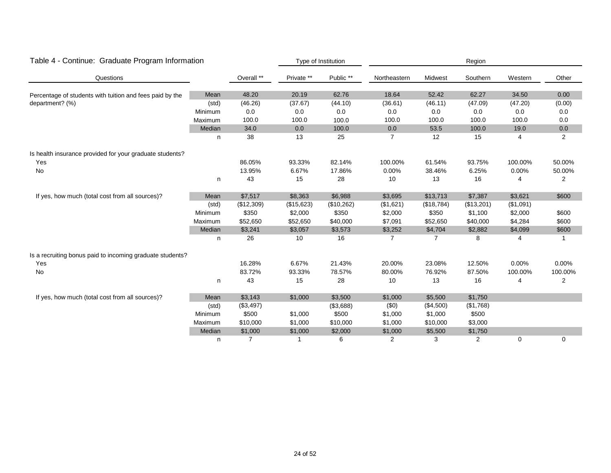| Table 4 - Continue: Graduate Program Information          |         |            |            | Type of Institution |                | Region     |            |                                                                                                                                                    |                |
|-----------------------------------------------------------|---------|------------|------------|---------------------|----------------|------------|------------|----------------------------------------------------------------------------------------------------------------------------------------------------|----------------|
| Questions                                                 |         | Overall ** | Private ** | Public **           | Northeastern   | Midwest    | Southern   | Western                                                                                                                                            | Other          |
| Percentage of students with tuition and fees paid by the  | Mean    | 48.20      | 20.19      | 62.76               | 18.64          | 52.42      | 62.27      | 34.50                                                                                                                                              | 0.00           |
| department? (%)                                           | (std)   | (46.26)    | (37.67)    | (44.10)             | (36.61)        | (46.11)    | (47.09)    |                                                                                                                                                    | (0.00)         |
|                                                           | Minimum | 0.0        | 0.0        | 0.0                 | 0.0            | 0.0        | 0.0        | 0.0                                                                                                                                                | 0.0            |
|                                                           | Maximum | 100.0      | 100.0      | 100.0               | 100.0          | 100.0      | 100.0      | (47.20)<br>100.0<br>19.0<br>4<br>100.00%<br>0.00%<br>4<br>\$3,621<br>(\$1,091)<br>\$2,000<br>\$4,284<br>\$4,099<br>8<br>4<br>0.00%<br>100.00%<br>4 | 0.0            |
|                                                           | Median  | 34.0       | 0.0        | 100.0               | 0.0            | 53.5       | 100.0      |                                                                                                                                                    | $0.0\,$        |
|                                                           | n       | 38         | 13         | 25                  | $\overline{7}$ | 12         | 15         |                                                                                                                                                    | 2              |
| Is health insurance provided for your graduate students?  |         |            |            |                     |                |            |            |                                                                                                                                                    |                |
| Yes                                                       |         | 86.05%     | 93.33%     | 82.14%              | 100.00%        | 61.54%     | 93.75%     |                                                                                                                                                    | 50.00%         |
| No                                                        |         | 13.95%     | 6.67%      | 17.86%              | 0.00%          | 38.46%     | 6.25%      |                                                                                                                                                    | 50.00%         |
|                                                           | n       | 43         | 15         | 28                  | 10             | 13         | 16         |                                                                                                                                                    | $\overline{2}$ |
| If yes, how much (total cost from all sources)?           | Mean    | \$7,517    | \$8,363    | \$6,988             | \$3,695        | \$13,713   | \$7,387    |                                                                                                                                                    | \$600          |
|                                                           | (std)   | (\$12,309) | (\$15,623) | (\$10,262)          | (\$1,621)      | (\$18,784) | (\$13,201) |                                                                                                                                                    |                |
|                                                           | Minimum | \$350      | \$2,000    | \$350               | \$2,000        | \$350      | \$1,100    |                                                                                                                                                    | \$600          |
|                                                           | Maximum | \$52,650   | \$52,650   | \$40,000            | \$7,091        | \$52,650   | \$40,000   | 0                                                                                                                                                  | \$600          |
|                                                           | Median  | \$3,241    | \$3,057    | \$3,573             | \$3,252        | \$4,704    | \$2,882    |                                                                                                                                                    | \$600          |
|                                                           | n       | 26         | 10         | 16                  | $\overline{7}$ | 7          |            |                                                                                                                                                    | 1              |
| Is a recruiting bonus paid to incoming graduate students? |         |            |            |                     |                |            |            |                                                                                                                                                    |                |
| Yes                                                       |         | 16.28%     | 6.67%      | 21.43%              | 20.00%         | 23.08%     | 12.50%     |                                                                                                                                                    | 0.00%          |
| No                                                        |         | 83.72%     | 93.33%     | 78.57%              | 80.00%         | 76.92%     | 87.50%     |                                                                                                                                                    | 100.00%        |
|                                                           | n       | 43         | 15         | 28                  | 10             | 13         | 16         |                                                                                                                                                    | $\overline{2}$ |
| If yes, how much (total cost from all sources)?           | Mean    | \$3,143    | \$1,000    | \$3,500             | \$1,000        | \$5,500    | \$1,750    |                                                                                                                                                    |                |
|                                                           | (std)   | (\$3,497)  |            | (\$3,688)           | (50)           | (\$4,500)  | (\$1,768)  |                                                                                                                                                    |                |
|                                                           | Minimum | \$500      | \$1,000    | \$500               | \$1,000        | \$1,000    | \$500      |                                                                                                                                                    |                |
|                                                           | Maximum | \$10,000   | \$1,000    | \$10,000            | \$1,000        | \$10,000   | \$3,000    |                                                                                                                                                    |                |
|                                                           | Median  | \$1,000    | \$1,000    | \$2,000             | \$1,000        | \$5,500    | \$1,750    |                                                                                                                                                    |                |
|                                                           | n       | 7          |            | 6                   | $\overline{2}$ | 3          | 2          |                                                                                                                                                    | $\mathbf 0$    |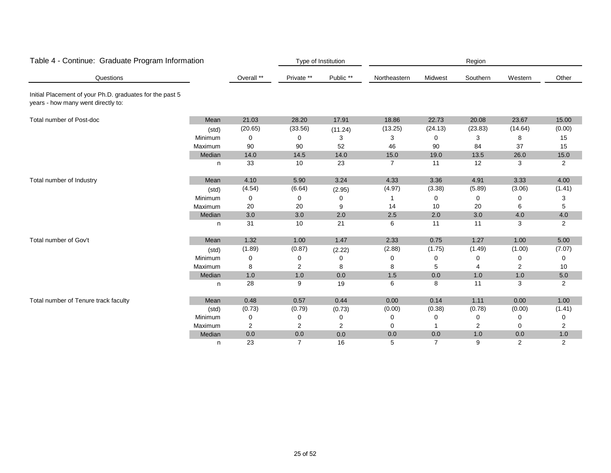| Table 4 - Continue: Graduate Program Information                                               |         |            |                | Type of Institution |                |                | Region   |                |                |
|------------------------------------------------------------------------------------------------|---------|------------|----------------|---------------------|----------------|----------------|----------|----------------|----------------|
| Questions                                                                                      |         | Overall ** | Private **     | Public **           | Northeastern   | Midwest        | Southern | Western        | Other          |
| Initial Placement of your Ph.D. graduates for the past 5<br>years - how many went directly to: |         |            |                |                     |                |                |          |                |                |
| Total number of Post-doc                                                                       | Mean    | 21.03      | 28.20          | 17.91               | 18.86          | 22.73          | 20.08    | 23.67          | 15.00          |
|                                                                                                | (std)   | (20.65)    | (33.56)        | (11.24)             | (13.25)        | (24.13)        | (23.83)  | (14.64)        | (0.00)         |
|                                                                                                | Minimum | 0          | 0              | 3                   | 3              | 0              | 3        | 8              | 15             |
|                                                                                                | Maximum | 90         | 90             | 52                  | 46             | 90             | 84       | 37             | 15             |
|                                                                                                | Median  | 14.0       | 14.5           | 14.0                | 15.0           | 19.0           | 13.5     | 26.0           | 15.0           |
|                                                                                                | n       | 33         | 10             | 23                  | $\overline{7}$ | 11             | 12       | 3              | $\overline{2}$ |
| Total number of Industry                                                                       | Mean    | 4.10       | 5.90           | 3.24                | 4.33           | 3.36           | 4.91     | 3.33           | 4.00           |
|                                                                                                | (std)   | (4.54)     | (6.64)         | (2.95)              | (4.97)         | (3.38)         | (5.89)   | (3.06)         | (1.41)         |
|                                                                                                | Minimum | 0          | 0              | 0                   | 1              | 0              | $\Omega$ | 0              | 3              |
|                                                                                                | Maximum | 20         | 20             | 9                   | 14             | 10             | 20       | 6              | 5              |
|                                                                                                | Median  | 3.0        | 3.0            | 2.0                 | 2.5            | 2.0            | 3.0      | 4.0            | 4.0            |
|                                                                                                | n       | 31         | 10             | 21                  | 6              | 11             | 11       | 3              | $\overline{2}$ |
| Total number of Gov't                                                                          | Mean    | 1.32       | 1.00           | 1.47                | 2.33           | 0.75           | 1.27     | 1.00           | 5.00           |
|                                                                                                | (std)   | (1.89)     | (0.87)         | (2.22)              | (2.88)         | (1.75)         | (1.49)   | (1.00)         | (7.07)         |
|                                                                                                | Minimum | 0          | 0              | 0                   | 0              | 0              | 0        | 0              | 0              |
|                                                                                                | Maximum | 8          | 2              | 8                   | 8              | 5              |          | $\overline{2}$ | 10             |
|                                                                                                | Median  | 1.0        | 1.0            | 0.0                 | 1.5            | 0.0            | 1.0      | 1.0            | 5.0            |
|                                                                                                | n       | 28         | 9              | 19                  | 6              | 8              | 11       | 3              | $\overline{2}$ |
| Total number of Tenure track faculty                                                           | Mean    | 0.48       | 0.57           | 0.44                | 0.00           | 0.14           | 1.11     | 0.00           | 1.00           |
|                                                                                                | (std)   | (0.73)     | (0.79)         | (0.73)              | (0.00)         | (0.38)         | (0.78)   | (0.00)         | (1.41)         |
|                                                                                                | Minimum | 0          | 0              | 0                   | 0              | 0              | 0        | 0              | 0              |
|                                                                                                | Maximum | 2          | 2              | $\overline{2}$      | 0              |                | 2        | 0              | 2              |
|                                                                                                | Median  | $0.0\,$    | $0.0\,$        | 0.0                 | 0.0            | 0.0            | 1.0      | 0.0            | 1.0            |
|                                                                                                | n       | 23         | $\overline{7}$ | 16                  | 5              | $\overline{7}$ | 9        | 2              | 2              |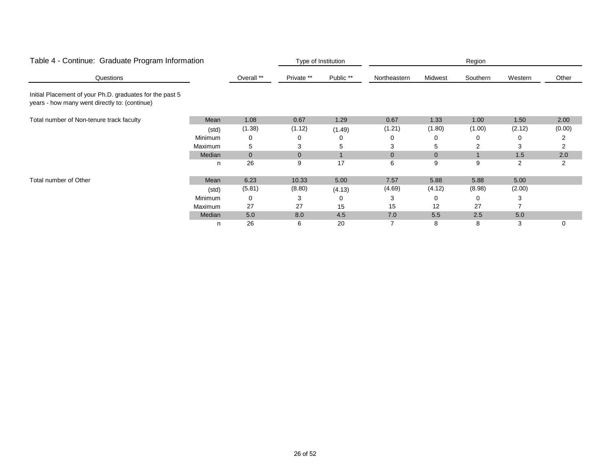| Table 4 - Continue: Graduate Program Information                                                          |         |              |                | Type of Institution |              |          | Region   |         |                |
|-----------------------------------------------------------------------------------------------------------|---------|--------------|----------------|---------------------|--------------|----------|----------|---------|----------------|
| Questions                                                                                                 |         | Overall **   | Private **     | Public **           | Northeastern | Midwest  | Southern | Western | Other          |
| Initial Placement of your Ph.D. graduates for the past 5<br>years - how many went directly to: (continue) |         |              |                |                     |              |          |          |         |                |
| Total number of Non-tenure track faculty                                                                  | Mean    | 1.08         | 0.67           | 1.29                | 0.67         | 1.33     | 1.00     | 1.50    | 2.00           |
|                                                                                                           | (std)   | (1.38)       | (1.12)         | (1.49)              | (1.21)       | (1.80)   | (1.00)   | (2.12)  | (0.00)         |
|                                                                                                           | Minimum | 0            | 0              | 0                   | 0            |          |          |         |                |
|                                                                                                           | Maximum | 5            | 3              | 5                   |              |          |          | 3       | 2              |
|                                                                                                           | Median  | $\mathbf{0}$ | $\overline{0}$ |                     | $\Omega$     | $\Omega$ |          | 1.5     | 2.0            |
|                                                                                                           | n       | 26           | 9              | 17                  | 6            | 9        | 9        | 2       | $\overline{2}$ |
| Total number of Other                                                                                     | Mean    | 6.23         | 10.33          | 5.00                | 7.57         | 5.88     | 5.88     | 5.00    |                |
|                                                                                                           | (std)   | (5.81)       | (8.80)         | (4.13)              | (4.69)       | (4.12)   | (8.98)   | (2.00)  |                |
|                                                                                                           | Minimum | 0            | 3              | 0                   | 3            | 0        | $\Omega$ |         |                |
|                                                                                                           | Maximum | 27           | 27             | 15                  | 15           | 12       | 27       |         |                |
|                                                                                                           | Median  | 5.0          | 8.0            | 4.5                 | 7.0          | 5.5      | 2.5      | 5.0     |                |
|                                                                                                           | n       | 26           | 6              | 20                  |              | 8        | 8        | 3       | 0              |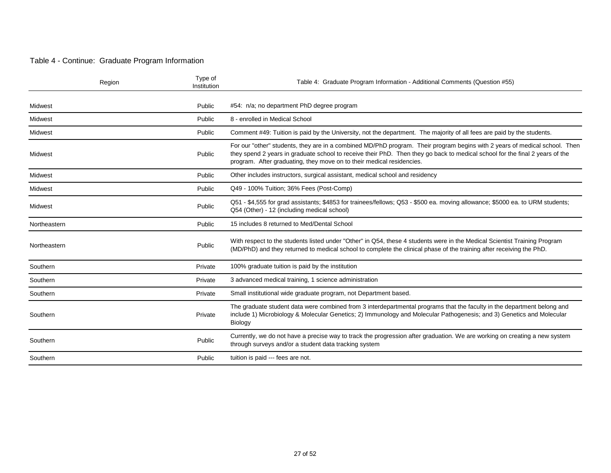#### Table 4 - Continue: Graduate Program Information

| Region       | Type of<br>Institution | Table 4: Graduate Program Information - Additional Comments (Question #55)                                                                                                                                                                                                                                                          |
|--------------|------------------------|-------------------------------------------------------------------------------------------------------------------------------------------------------------------------------------------------------------------------------------------------------------------------------------------------------------------------------------|
| Midwest      | Public                 | #54: n/a; no department PhD degree program                                                                                                                                                                                                                                                                                          |
| Midwest      | Public                 | 8 - enrolled in Medical School                                                                                                                                                                                                                                                                                                      |
| Midwest      | Public                 | Comment #49: Tuition is paid by the University, not the department. The majority of all fees are paid by the students.                                                                                                                                                                                                              |
| Midwest      | Public                 | For our "other" students, they are in a combined MD/PhD program. Their program begins with 2 years of medical school. Then<br>they spend 2 years in graduate school to receive their PhD. Then they go back to medical school for the final 2 years of the<br>program. After graduating, they move on to their medical residencies. |
| Midwest      | Public                 | Other includes instructors, surgical assistant, medical school and residency                                                                                                                                                                                                                                                        |
| Midwest      | Public                 | Q49 - 100% Tuition; 36% Fees (Post-Comp)                                                                                                                                                                                                                                                                                            |
| Midwest      | Public                 | Q51 - \$4,555 for grad assistants; \$4853 for trainees/fellows; Q53 - \$500 ea. moving allowance; \$5000 ea. to URM students;<br>Q54 (Other) - 12 (including medical school)                                                                                                                                                        |
| Northeastern | Public                 | 15 includes 8 returned to Med/Dental School                                                                                                                                                                                                                                                                                         |
| Northeastern | Public                 | With respect to the students listed under "Other" in Q54, these 4 students were in the Medical Scientist Training Program<br>(MD/PhD) and they returned to medical school to complete the clinical phase of the training after receiving the PhD.                                                                                   |
| Southern     | Private                | 100% graduate tuition is paid by the institution                                                                                                                                                                                                                                                                                    |
| Southern     | Private                | 3 advanced medical training, 1 science administration                                                                                                                                                                                                                                                                               |
| Southern     | Private                | Small institutional wide graduate program, not Department based.                                                                                                                                                                                                                                                                    |
| Southern     | Private                | The graduate student data were combined from 3 interdepartmental programs that the faculty in the department belong and<br>include 1) Microbiology & Molecular Genetics; 2) Immunology and Molecular Pathogenesis; and 3) Genetics and Molecular<br>Biology                                                                         |
| Southern     | Public                 | Currently, we do not have a precise way to track the progression after graduation. We are working on creating a new system<br>through surveys and/or a student data tracking system                                                                                                                                                 |
| Southern     | Public                 | tuition is paid --- fees are not.                                                                                                                                                                                                                                                                                                   |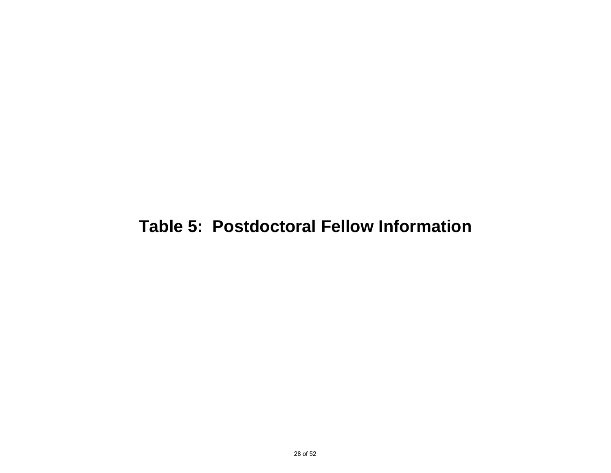## **Table 5: Postdoctoral Fellow Information**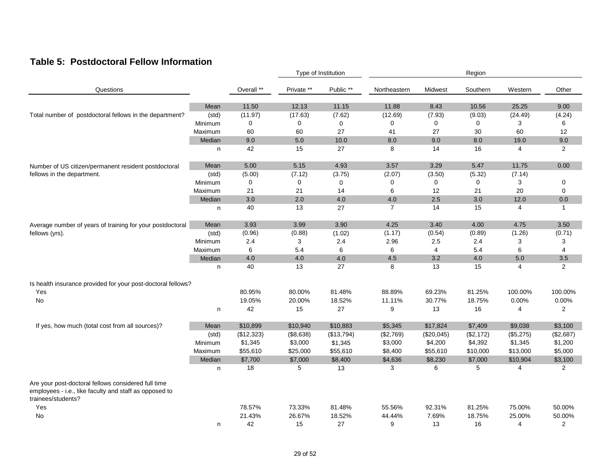#### **Table 5: Postdoctoral Fellow Information**

|                                                                                                                                     |         |            |            | Type of Institution |                  |                         | Region    |                                                                                                                                                                                                                                                                                    |                |  |
|-------------------------------------------------------------------------------------------------------------------------------------|---------|------------|------------|---------------------|------------------|-------------------------|-----------|------------------------------------------------------------------------------------------------------------------------------------------------------------------------------------------------------------------------------------------------------------------------------------|----------------|--|
| Questions                                                                                                                           |         | Overall ** | Private ** | Public **           | Northeastern     | Midwest                 | Southern  | Western<br>25.25<br>(24.49)<br>3<br>60<br>19.0<br>$\overline{4}$<br>11.75<br>(7.14)<br>3<br>20<br>12.0<br>4<br>4.75<br>(1.26)<br>3<br>6<br>5.0<br>$\overline{4}$<br>100.00%<br>0.00%<br>4<br>\$9,038<br>(\$5,275)<br>\$1,345<br>\$13,000<br>\$10,904<br>4<br>75.00%<br>25.00%<br>4 | Other          |  |
|                                                                                                                                     | Mean    | 11.50      | 12.13      | 11.15               | 11.88            | 8.43                    | 10.56     |                                                                                                                                                                                                                                                                                    | 9.00           |  |
| Total number of postdoctoral fellows in the department?                                                                             | (std)   | (11.97)    | (17.63)    | (7.62)              | (12.69)          | (7.93)                  | (9.03)    |                                                                                                                                                                                                                                                                                    | (4.24)         |  |
|                                                                                                                                     | Minimum | 0          | 0          | 0                   | 0                | 0                       | 0         |                                                                                                                                                                                                                                                                                    | 6              |  |
|                                                                                                                                     | Maximum | 60         | 60         | 27                  | 41               | 27                      | 30        |                                                                                                                                                                                                                                                                                    | 12             |  |
|                                                                                                                                     | Median  | 9.0        | 5.0        | 10.0                | 8.0              | 9.0                     | 8.0       |                                                                                                                                                                                                                                                                                    | 9.0            |  |
|                                                                                                                                     |         |            |            |                     | 8                |                         |           |                                                                                                                                                                                                                                                                                    |                |  |
|                                                                                                                                     | n       | 42         | 15         | 27                  |                  | 14                      | 16        |                                                                                                                                                                                                                                                                                    | $\overline{2}$ |  |
| Number of US citizen/permanent resident postdoctoral                                                                                | Mean    | 5.00       | 5.15       | 4.93                | 3.57             | 3.29                    | 5.47      |                                                                                                                                                                                                                                                                                    | 0.00           |  |
| fellows in the department.                                                                                                          | (std)   | (5.00)     | (7.12)     | (3.75)              | (2.07)           | (3.50)                  | (5.32)    |                                                                                                                                                                                                                                                                                    |                |  |
|                                                                                                                                     | Minimum | 0          | 0          | 0                   | $\mathbf 0$      | $\mathbf 0$             | 0         |                                                                                                                                                                                                                                                                                    | 0              |  |
|                                                                                                                                     | Maximum | 21         | 21         | 14                  | 6                | 12                      | 21        |                                                                                                                                                                                                                                                                                    | $\mathbf 0$    |  |
|                                                                                                                                     | Median  | 3.0        | 2.0        | 4.0                 | 4.0              | 2.5                     | 3.0       |                                                                                                                                                                                                                                                                                    | 0.0            |  |
|                                                                                                                                     | n       | 40         | 13         | 27                  | $\overline{7}$   | 14                      | 15        |                                                                                                                                                                                                                                                                                    | $\mathbf{1}$   |  |
| Average number of years of training for your postdoctoral                                                                           | Mean    | 3.93       | 3.99       | 3.90                | 4.25             | 3.40                    | 4.00      |                                                                                                                                                                                                                                                                                    | 3.50           |  |
| fellows (yrs).                                                                                                                      | (std)   | (0.96)     | (0.88)     | (1.02)              | (1.17)           | (0.54)                  | (0.89)    |                                                                                                                                                                                                                                                                                    | (0.71)         |  |
|                                                                                                                                     | Minimum | 2.4        | 3          | 2.4                 | 2.96             | 2.5                     | 2.4       |                                                                                                                                                                                                                                                                                    | 3              |  |
|                                                                                                                                     | Maximum | 6          | 5.4        | 6                   | $\,6$            | $\overline{\mathbf{4}}$ | 5.4       |                                                                                                                                                                                                                                                                                    | 4              |  |
|                                                                                                                                     | Median  | 4.0        | 4.0        | 4.0                 | 4.5              | 3.2                     | 4.0       |                                                                                                                                                                                                                                                                                    | 3.5            |  |
|                                                                                                                                     | n       | 40         | 13         | 27                  | 8                | 13                      | 15        |                                                                                                                                                                                                                                                                                    | 2              |  |
| Is health insurance provided for your post-doctoral fellows?                                                                        |         |            |            |                     |                  |                         |           |                                                                                                                                                                                                                                                                                    |                |  |
|                                                                                                                                     |         | 80.95%     | 80.00%     | 81.48%              | 88.89%           | 69.23%                  | 81.25%    |                                                                                                                                                                                                                                                                                    | 100.00%        |  |
| Yes<br>No                                                                                                                           |         | 19.05%     | 20.00%     | 18.52%              | 11.11%           | 30.77%                  | 18.75%    |                                                                                                                                                                                                                                                                                    | 0.00%          |  |
|                                                                                                                                     |         |            |            |                     |                  |                         |           |                                                                                                                                                                                                                                                                                    |                |  |
|                                                                                                                                     | n       | 42         | 15         | 27                  | $\boldsymbol{9}$ | 13                      | 16        |                                                                                                                                                                                                                                                                                    | 2              |  |
| If yes, how much (total cost from all sources)?                                                                                     | Mean    | \$10,899   | \$10,940   | \$10,883            | \$5,345          | \$17,824                | \$7,409   |                                                                                                                                                                                                                                                                                    | \$3,100        |  |
|                                                                                                                                     | (std)   | (\$12,323) | (\$8,638)  | (\$13,794)          | (\$2,769)        | (\$20,045)              | (\$2,172) |                                                                                                                                                                                                                                                                                    | (\$2,687)      |  |
|                                                                                                                                     | Minimum | \$1,345    | \$3,000    | \$1,345             | \$3,000          | \$4,200                 | \$4,392   |                                                                                                                                                                                                                                                                                    | \$1,200        |  |
|                                                                                                                                     | Maximum | \$55,610   | \$25,000   | \$55,610            | \$8,400          | \$55,610                | \$10,000  |                                                                                                                                                                                                                                                                                    | \$5,000        |  |
|                                                                                                                                     | Median  | \$7,700    | \$7,000    | \$8,400             | \$4,636          | \$8,230                 | \$7,000   |                                                                                                                                                                                                                                                                                    | \$3,100        |  |
|                                                                                                                                     | n       | 18         | 5          | 13                  | 3                | 6                       | 5         |                                                                                                                                                                                                                                                                                    | $\overline{2}$ |  |
| Are your post-doctoral fellows considered full time<br>employees - i.e., like faculty and staff as opposed to<br>trainees/students? |         |            |            |                     |                  |                         |           |                                                                                                                                                                                                                                                                                    |                |  |
| Yes                                                                                                                                 |         | 78.57%     | 73.33%     | 81.48%              | 55.56%           | 92.31%                  | 81.25%    |                                                                                                                                                                                                                                                                                    | 50.00%         |  |
| No.                                                                                                                                 |         | 21.43%     | 26.67%     | 18.52%              | 44.44%           | 7.69%                   | 18.75%    |                                                                                                                                                                                                                                                                                    | 50.00%         |  |
|                                                                                                                                     | n       | 42         | 15         | 27                  | 9                | 13                      | 16        |                                                                                                                                                                                                                                                                                    | 2              |  |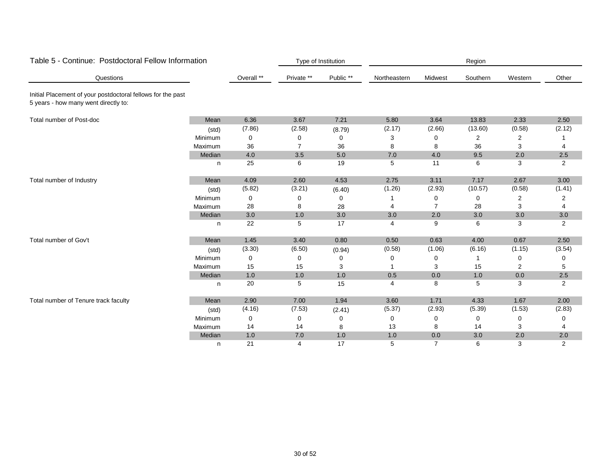| Table 5 - Continue: Postdoctoral Fellow Information                                                 |         |            | Type of Institution<br>Region |           |                |                |          |         |                |
|-----------------------------------------------------------------------------------------------------|---------|------------|-------------------------------|-----------|----------------|----------------|----------|---------|----------------|
| Questions                                                                                           |         | Overall ** | Private **                    | Public ** | Northeastern   | Midwest        | Southern | Western | Other          |
| Initial Placement of your postdoctoral fellows for the past<br>5 years - how many went directly to: |         |            |                               |           |                |                |          |         |                |
| Total number of Post-doc                                                                            | Mean    | 6.36       | 3.67                          | 7.21      | 5.80           | 3.64           | 13.83    | 2.33    | 2.50           |
|                                                                                                     | (std)   | (7.86)     | (2.58)                        | (8.79)    | (2.17)         | (2.66)         | (13.60)  | (0.58)  | (2.12)         |
|                                                                                                     | Minimum | 0          | 0                             | 0         | 3              | 0              | 2        | 2       |                |
|                                                                                                     | Maximum | 36         | $\overline{7}$                | 36        | 8              | 8              | 36       | 3       | 4              |
|                                                                                                     | Median  | 4.0        | 3.5                           | 5.0       | 7.0            | 4.0            | 9.5      | 2.0     | 2.5            |
|                                                                                                     | n       | 25         | 6                             | 19        | 5              | 11             | 6        | 3       | 2              |
| Total number of Industry                                                                            | Mean    | 4.09       | 2.60                          | 4.53      | 2.75           | 3.11           | 7.17     | 2.67    | 3.00           |
|                                                                                                     | (std)   | (5.82)     | (3.21)                        | (6.40)    | (1.26)         | (2.93)         | (10.57)  | (0.58)  | (1.41)         |
|                                                                                                     | Minimum | 0          | 0                             | 0         |                | 0              | 0        | 2       | 2              |
|                                                                                                     | Maximum | 28         | 8                             | 28        |                | 7              | 28       | 3       | 4              |
|                                                                                                     | Median  | 3.0        | 1.0                           | 3.0       | 3.0            | 2.0            | 3.0      | 3.0     | 3.0            |
|                                                                                                     | n       | 22         | 5                             | 17        | $\overline{4}$ | 9              | 6        | 3       | $\overline{2}$ |
| Total number of Gov't                                                                               | Mean    | 1.45       | 3.40                          | 0.80      | 0.50           | 0.63           | 4.00     | 0.67    | 2.50           |
|                                                                                                     | (std)   | (3.30)     | (6.50)                        | (0.94)    | (0.58)         | (1.06)         | (6.16)   | (1.15)  | (3.54)         |
|                                                                                                     | Minimum | 0          | 0                             | 0         | 0              | 0              |          | 0       | 0              |
|                                                                                                     | Maximum | 15         | 15                            | 3         |                | 3              | 15       | 2       | 5              |
|                                                                                                     | Median  | 1.0        | 1.0                           | 1.0       | 0.5            | 0.0            | 1.0      | 0.0     | 2.5            |
|                                                                                                     | n       | 20         | 5                             | 15        | 4              | 8              | 5        | 3       | 2              |
| Total number of Tenure track faculty                                                                | Mean    | 2.90       | 7.00                          | 1.94      | 3.60           | 1.71           | 4.33     | 1.67    | 2.00           |
|                                                                                                     | (std)   | (4.16)     | (7.53)                        | (2.41)    | (5.37)         | (2.93)         | (5.39)   | (1.53)  | (2.83)         |
|                                                                                                     | Minimum | 0          | 0                             | 0         | 0              | 0              | $\Omega$ | 0       | ŋ              |
|                                                                                                     | Maximum | 14         | 14                            | 8         | 13             | 8              | 14       | 3       | 4              |
|                                                                                                     | Median  | 1.0        | 7.0                           | 1.0       | 1.0            | 0.0            | 3.0      | 2.0     | 2.0            |
|                                                                                                     | n       | 21         | $\overline{4}$                | 17        | 5              | $\overline{7}$ | 6        | 3       | $\overline{2}$ |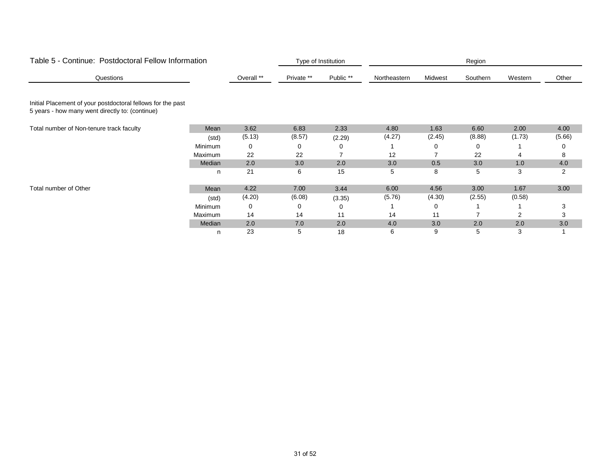| Table 5 - Continue: Postdoctoral Fellow Information                                                            |         |            |            | Type of Institution |              |         | Region   |                |        |
|----------------------------------------------------------------------------------------------------------------|---------|------------|------------|---------------------|--------------|---------|----------|----------------|--------|
| Questions                                                                                                      |         | Overall ** | Private ** | Public **           | Northeastern | Midwest | Southern | Western        | Other  |
| Initial Placement of your postdoctoral fellows for the past<br>5 years - how many went directly to: (continue) |         |            |            |                     |              |         |          |                |        |
| Total number of Non-tenure track faculty                                                                       | Mean    | 3.62       | 6.83       | 2.33                | 4.80         | 1.63    | 6.60     | 2.00           | 4.00   |
|                                                                                                                | (std)   | (5.13)     | (8.57)     | (2.29)              | (4.27)       | (2.45)  | (8.88)   | (1.73)         | (5.66) |
|                                                                                                                | Minimum | 0          | 0          | 0                   |              | 0       | 0        |                | ∩      |
|                                                                                                                | Maximum | 22         | 22         |                     | 12           |         | 22       |                | 8      |
|                                                                                                                | Median  | 2.0        | 3.0        | 2.0                 | 3.0          | 0.5     | 3.0      | 1.0            | 4.0    |
|                                                                                                                | n       | 21         | 6          | 15                  | 5            | 8       | 5        | 3              | 2      |
| Total number of Other                                                                                          | Mean    | 4.22       | 7.00       | 3.44                | 6.00         | 4.56    | 3.00     | 1.67           | 3.00   |
|                                                                                                                | (std)   | (4.20)     | (6.08)     | (3.35)              | (5.76)       | (4.30)  | (2.55)   | (0.58)         |        |
|                                                                                                                | Minimum | 0          | 0          | 0                   |              | 0       |          |                | 3      |
|                                                                                                                | Maximum | 14         | 14         | 11                  | 14           | 11      |          | $\overline{2}$ | 3      |
|                                                                                                                | Median  | 2.0        | 7.0        | 2.0                 | 4.0          | 3.0     | 2.0      | 2.0            | 3.0    |
|                                                                                                                | n       | 23         | 5          | 18                  | 6            | 9       | 5        | 3              |        |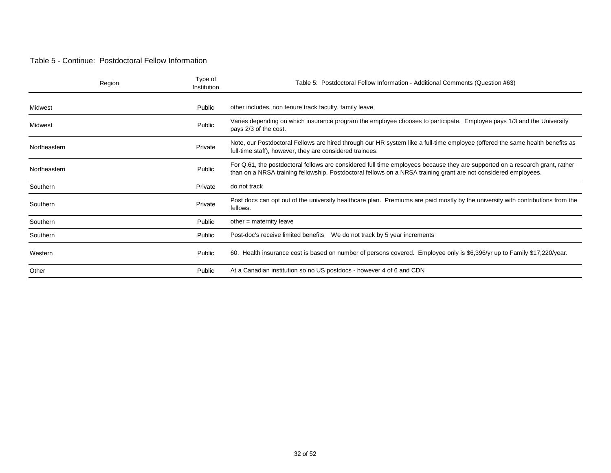#### Table 5 - Continue: Postdoctoral Fellow Information

| Region       | Type of<br>Institution | Table 5: Postdoctoral Fellow Information - Additional Comments (Question #63)                                                                                                                                                                   |
|--------------|------------------------|-------------------------------------------------------------------------------------------------------------------------------------------------------------------------------------------------------------------------------------------------|
| Midwest      | Public                 | other includes, non tenure track faculty, family leave                                                                                                                                                                                          |
| Midwest      | Public                 | Varies depending on which insurance program the employee chooses to participate. Employee pays 1/3 and the University<br>pays 2/3 of the cost.                                                                                                  |
| Northeastern | Private                | Note, our Postdoctoral Fellows are hired through our HR system like a full-time employee (offered the same health benefits as<br>full-time staff), however, they are considered trainees.                                                       |
| Northeastern | Public                 | For Q.61, the postdoctoral fellows are considered full time employees because they are supported on a research grant, rather<br>than on a NRSA training fellowship. Postdoctoral fellows on a NRSA training grant are not considered employees. |
| Southern     | Private                | do not track                                                                                                                                                                                                                                    |
| Southern     | Private                | Post docs can opt out of the university healthcare plan. Premiums are paid mostly by the university with contributions from the<br>fellows.                                                                                                     |
| Southern     | Public                 | $other = maternity leave$                                                                                                                                                                                                                       |
| Southern     | Public                 | We do not track by 5 year increments<br>Post-doc's receive limited benefits                                                                                                                                                                     |
| Western      | Public                 | 60. Health insurance cost is based on number of persons covered. Employee only is \$6,396/yr up to Family \$17,220/year.                                                                                                                        |
| Other        | Public                 | At a Canadian institution so no US postdocs - however 4 of 6 and CDN                                                                                                                                                                            |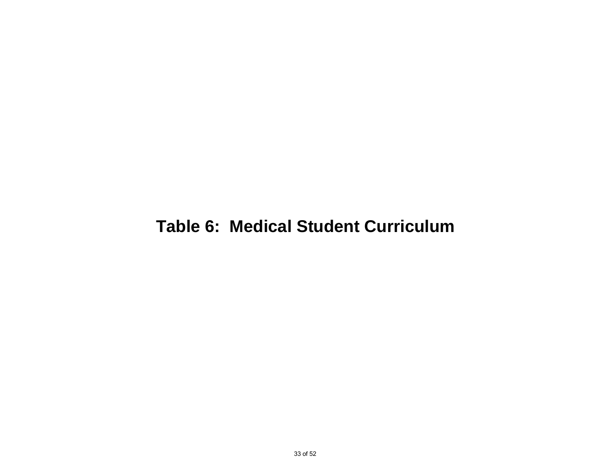## **Table 6: Medical Student Curriculum**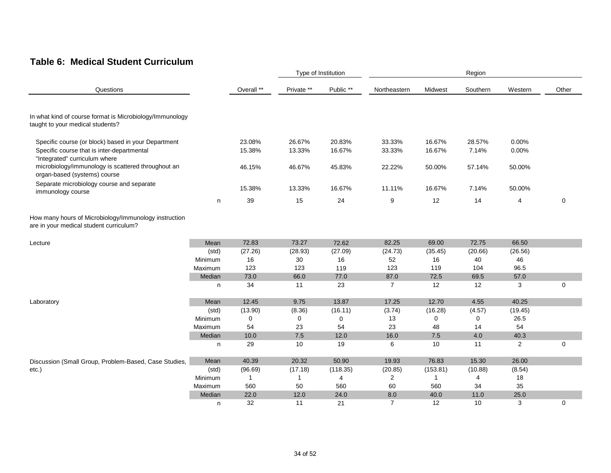#### **Table 6: Medical Student Curriculum**

|                                                                                                                                    |         |                  | Type of Institution |                  |                  |                  | Region          |                |          |
|------------------------------------------------------------------------------------------------------------------------------------|---------|------------------|---------------------|------------------|------------------|------------------|-----------------|----------------|----------|
| Questions                                                                                                                          |         | Overall **       | Private **          | Public **        | Northeastern     | Midwest          | Southern        | Western        | Other    |
| In what kind of course format is Microbiology/Immunology<br>taught to your medical students?                                       |         |                  |                     |                  |                  |                  |                 |                |          |
| Specific course (or block) based in your Department<br>Specific course that is inter-departmental<br>"Integrated" curriculum where |         | 23.08%<br>15.38% | 26.67%<br>13.33%    | 20.83%<br>16.67% | 33.33%<br>33.33% | 16.67%<br>16.67% | 28.57%<br>7.14% | 0.00%<br>0.00% |          |
| microbiology/immunology is scattered throughout an<br>organ-based (systems) course                                                 |         | 46.15%           | 46.67%              | 45.83%           | 22.22%           | 50.00%           | 57.14%          | 50.00%         |          |
| Separate microbiology course and separate<br>immunology course                                                                     |         | 15.38%           | 13.33%              | 16.67%           | 11.11%           | 16.67%           | 7.14%           | 50.00%         |          |
|                                                                                                                                    | n       | 39               | 15                  | 24               | 9                | 12               | 14              | 4              | 0        |
| How many hours of Microbiology/Immunology instruction<br>are in your medical student curriculum?                                   |         |                  |                     |                  |                  |                  |                 |                |          |
| Lecture                                                                                                                            | Mean    | 72.83            | 73.27               | 72.62            | 82.25            | 69.00            | 72.75           | 66.50          |          |
|                                                                                                                                    | (std)   | (27.26)          | (28.93)             | (27.09)          | (24.73)          | (35.45)          | (20.66)         | (26.56)        |          |
|                                                                                                                                    | Minimum | 16               | 30                  | 16               | 52               | 16               | 40              | 46             |          |
|                                                                                                                                    | Maximum | 123              | 123                 | 119              | 123              | 119              | 104             | 96.5           |          |
|                                                                                                                                    | Median  | 73.0             | 66.0                | 77.0             | 87.0             | 72.5             | 69.5            | 57.0           |          |
|                                                                                                                                    | n       | 34               | 11                  | 23               | $\overline{7}$   | 12               | 12              | 3              | 0        |
| Laboratory                                                                                                                         | Mean    | 12.45            | 9.75                | 13.87            | 17.25            | 12.70            | 4.55            | 40.25          |          |
|                                                                                                                                    | (std)   | (13.90)          | (8.36)              | (16.11)          | (3.74)           | (16.28)          | (4.57)          | (19.45)        |          |
|                                                                                                                                    | Minimum | 0                | 0                   | 0                | 13               | 0                | 0               | 26.5           |          |
|                                                                                                                                    | Maximum | 54               | 23                  | 54               | 23               | 48               | 14              | 54             |          |
|                                                                                                                                    | Median  | 10.0             | 7.5                 | 12.0             | 16.0             | 7.5              | 4.0             | 40.3           |          |
|                                                                                                                                    | n       | 29               | 10                  | 19               | 6                | 10               | 11              | 2              | $\Omega$ |
| Discussion (Small Group, Problem-Based, Case Studies,                                                                              | Mean    | 40.39            | 20.32               | 50.90            | 19.93            | 76.83            | 15.30           | 26.00          |          |
| etc.)                                                                                                                              | (std)   | (96.69)          | (17.18)             | (118.35)         | (20.85)          | (153.81)         | (10.88)         | (8.54)         |          |
|                                                                                                                                    | Minimum | $\mathbf{1}$     | $\mathbf{1}$        | 4                | $\overline{2}$   | $\mathbf{1}$     | 4               | 18             |          |
|                                                                                                                                    | Maximum | 560              | 50                  | 560              | 60               | 560              | 34              | 35             |          |
|                                                                                                                                    | Median  | 22.0             | 12.0                | 24.0             | 8.0              | 40.0             | 11.0            | 25.0           |          |
|                                                                                                                                    | n       | 32               | 11                  | 21               | $\overline{7}$   | 12               | 10              | 3              | 0        |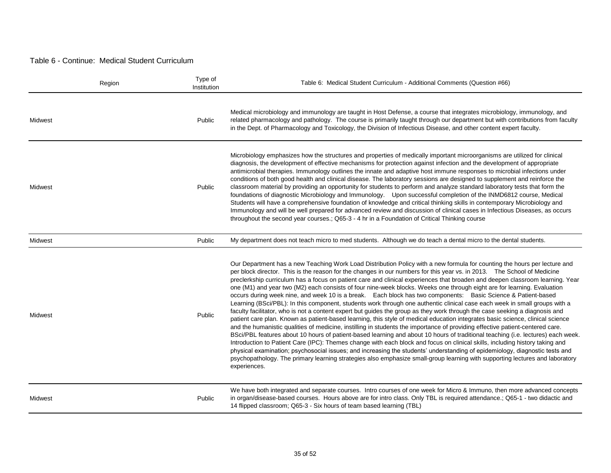#### Table 6 - Continue: Medical Student Curriculum

|         | Region | Type of<br>Institution | Table 6: Medical Student Curriculum - Additional Comments (Question #66)                                                                                                                                                                                                                                                                                                                                                                                                                                                                                                                                                                                                                                                                                                                                                                                                                                                                                                                                                                                                                                                                                                                                                                                                                                                                                                                                                                                                                                                                                                                                                                                                                                             |
|---------|--------|------------------------|----------------------------------------------------------------------------------------------------------------------------------------------------------------------------------------------------------------------------------------------------------------------------------------------------------------------------------------------------------------------------------------------------------------------------------------------------------------------------------------------------------------------------------------------------------------------------------------------------------------------------------------------------------------------------------------------------------------------------------------------------------------------------------------------------------------------------------------------------------------------------------------------------------------------------------------------------------------------------------------------------------------------------------------------------------------------------------------------------------------------------------------------------------------------------------------------------------------------------------------------------------------------------------------------------------------------------------------------------------------------------------------------------------------------------------------------------------------------------------------------------------------------------------------------------------------------------------------------------------------------------------------------------------------------------------------------------------------------|
| Midwest |        | Public                 | Medical microbiology and immunology are taught in Host Defense, a course that integrates microbiology, immunology, and<br>related pharmacology and pathology. The course is primarily taught through our department but with contributions from faculty<br>in the Dept. of Pharmacology and Toxicology, the Division of Infectious Disease, and other content expert faculty.                                                                                                                                                                                                                                                                                                                                                                                                                                                                                                                                                                                                                                                                                                                                                                                                                                                                                                                                                                                                                                                                                                                                                                                                                                                                                                                                        |
| Midwest |        | Public                 | Microbiology emphasizes how the structures and properties of medically important microorganisms are utilized for clinical<br>diagnosis, the development of effective mechanisms for protection against infection and the development of appropriate<br>antimicrobial therapies. Immunology outlines the innate and adaptive host immune responses to microbial infections under<br>conditions of both good health and clinical disease. The laboratory sessions are designed to supplement and reinforce the<br>classroom material by providing an opportunity for students to perform and analyze standard laboratory tests that form the<br>foundations of diagnostic Microbiology and Immunology. Upon successful completion of the INMD6812 course, Medical<br>Students will have a comprehensive foundation of knowledge and critical thinking skills in contemporary Microbiology and<br>Immunology and will be well prepared for advanced review and discussion of clinical cases in Infectious Diseases, as occurs<br>throughout the second year courses.; Q65-3 - 4 hr in a Foundation of Critical Thinking course                                                                                                                                                                                                                                                                                                                                                                                                                                                                                                                                                                                          |
| Midwest |        | Public                 | My department does not teach micro to med students. Although we do teach a dental micro to the dental students.                                                                                                                                                                                                                                                                                                                                                                                                                                                                                                                                                                                                                                                                                                                                                                                                                                                                                                                                                                                                                                                                                                                                                                                                                                                                                                                                                                                                                                                                                                                                                                                                      |
| Midwest |        | Public                 | Our Department has a new Teaching Work Load Distribution Policy with a new formula for counting the hours per lecture and<br>per block director. This is the reason for the changes in our numbers for this year vs. in 2013. The School of Medicine<br>preclerkship curriculum has a focus on patient care and clinical experiences that broaden and deepen classroom learning. Year<br>one (M1) and year two (M2) each consists of four nine-week blocks. Weeks one through eight are for learning. Evaluation<br>occurs during week nine, and week 10 is a break. Each block has two components: Basic Science & Patient-based<br>Learning (BSci/PBL): In this component, students work through one authentic clinical case each week in small groups with a<br>faculty facilitator, who is not a content expert but guides the group as they work through the case seeking a diagnosis and<br>patient care plan. Known as patient-based learning, this style of medical education integrates basic science, clinical science<br>and the humanistic qualities of medicine, instilling in students the importance of providing effective patient-centered care.<br>BSci/PBL features about 10 hours of patient-based learning and about 10 hours of traditional teaching (i.e. lectures) each week.<br>Introduction to Patient Care (IPC): Themes change with each block and focus on clinical skills, including history taking and<br>physical examination; psychosocial issues; and increasing the students' understanding of epidemiology, diagnostic tests and<br>psychopathology. The primary learning strategies also emphasize small-group learning with supporting lectures and laboratory<br>experiences. |
| Midwest |        | Public                 | We have both integrated and separate courses. Intro courses of one week for Micro & Immuno, then more advanced concepts<br>in organ/disease-based courses. Hours above are for intro class. Only TBL is required attendance.; Q65-1 - two didactic and<br>14 flipped classroom; Q65-3 - Six hours of team based learning (TBL)                                                                                                                                                                                                                                                                                                                                                                                                                                                                                                                                                                                                                                                                                                                                                                                                                                                                                                                                                                                                                                                                                                                                                                                                                                                                                                                                                                                       |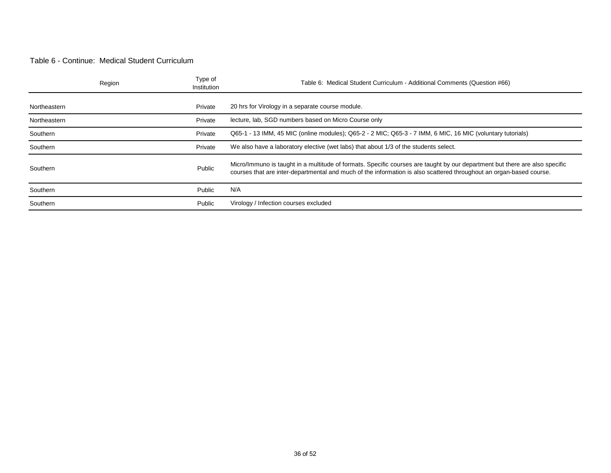#### Table 6 - Continue: Medical Student Curriculum

|              | Region | Type of<br>Institution | Table 6: Medical Student Curriculum - Additional Comments (Question #66)                                                                                                                                                                           |
|--------------|--------|------------------------|----------------------------------------------------------------------------------------------------------------------------------------------------------------------------------------------------------------------------------------------------|
|              |        |                        |                                                                                                                                                                                                                                                    |
| Northeastern |        | Private                | 20 hrs for Virology in a separate course module.                                                                                                                                                                                                   |
| Northeastern |        | Private                | lecture, lab, SGD numbers based on Micro Course only                                                                                                                                                                                               |
| Southern     |        | Private                | Q65-1 - 13 IMM, 45 MIC (online modules); Q65-2 - 2 MIC; Q65-3 - 7 IMM, 6 MIC, 16 MIC (voluntary tutorials)                                                                                                                                         |
| Southern     |        | Private                | We also have a laboratory elective (wet labs) that about 1/3 of the students select.                                                                                                                                                               |
| Southern     |        | Public                 | Micro/Immuno is taught in a multitude of formats. Specific courses are taught by our department but there are also specific<br>courses that are inter-departmental and much of the information is also scattered throughout an organ-based course. |
| Southern     |        | Public                 | N/A                                                                                                                                                                                                                                                |
| Southern     |        | Public                 | Virology / Infection courses excluded                                                                                                                                                                                                              |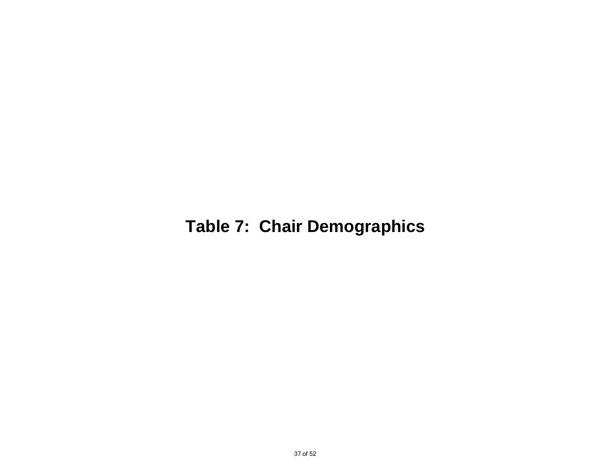## **Table 7: Chair Demographics**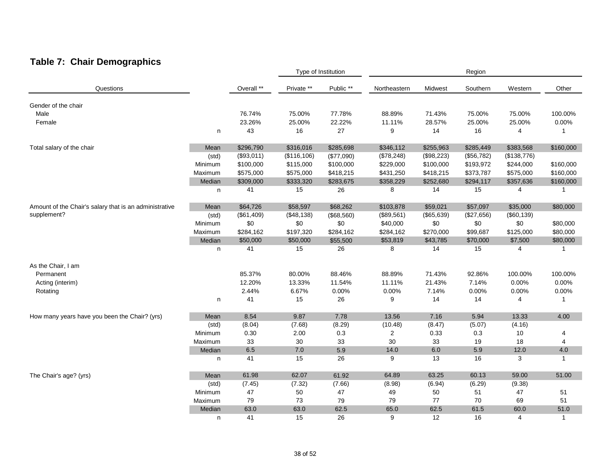### **Table 7: Chair Demographics**

|                                                        |         |            |              | Type of Institution |              |            | Region     |             |              |
|--------------------------------------------------------|---------|------------|--------------|---------------------|--------------|------------|------------|-------------|--------------|
| Questions                                              |         | Overall ** | Private **   | Public **           | Northeastern | Midwest    | Southern   | Western     | Other        |
|                                                        |         |            |              |                     |              |            |            |             |              |
| Gender of the chair                                    |         |            |              |                     |              |            |            |             |              |
| Male                                                   |         | 76.74%     | 75.00%       | 77.78%              | 88.89%       | 71.43%     | 75.00%     | 75.00%      | 100.00%      |
| Female                                                 |         | 23.26%     | 25.00%       | 22.22%              | 11.11%       | 28.57%     | 25.00%     | 25.00%      | 0.00%        |
|                                                        | n       | 43         | 16           | 27                  | 9            | 14         | 16         | 4           | 1            |
| Total salary of the chair                              | Mean    | \$296,790  | \$316,016    | \$285,698           | \$346,112    | \$255,963  | \$285,449  | \$383,568   | \$160,000    |
|                                                        | (std)   | (\$93,011) | (\$116, 106) | (\$77,090)          | (\$78,248)   | (\$98,223) | (\$56,782) | (\$138,776) |              |
|                                                        | Minimum | \$100,000  | \$115,000    | \$100,000           | \$229,000    | \$100,000  | \$193,972  | \$244,000   | \$160,000    |
|                                                        | Maximum | \$575,000  | \$575,000    | \$418,215           | \$431,250    | \$418,215  | \$373,787  | \$575,000   | \$160,000    |
|                                                        | Median  | \$309,000  | \$333,320    | \$283,675           | \$358,229    | \$252,680  | \$294,117  | \$357,636   | \$160,000    |
|                                                        | n       | 41         | 15           | 26                  | 8            | 14         | 15         | 4           | $\mathbf{1}$ |
| Amount of the Chair's salary that is an administrative | Mean    | \$64,726   | \$58,597     | \$68,262            | \$103,878    | \$59,021   | \$57,097   | \$35,000    | \$80,000     |
| supplement?                                            | (std)   | (\$61,409) | (\$48,138)   | (\$68,560)          | (\$89,561)   | (\$65,639) | (\$27,656) | (\$60, 139) |              |
|                                                        | Minimum | \$0        | \$0          | \$0                 | \$40,000     | \$0        | \$0        | \$0         | \$80,000     |
|                                                        |         | \$284,162  | \$197,320    |                     |              | \$270,000  | \$99,687   | \$125,000   | \$80,000     |
|                                                        | Maximum |            |              | \$284,162           | \$284,162    |            |            |             |              |
|                                                        | Median  | \$50,000   | \$50,000     | \$55,500            | \$53,819     | \$43,785   | \$70,000   | \$7,500     | \$80,000     |
|                                                        | n       | 41         | 15           | 26                  | 8            | 14         | 15         | 4           | $\mathbf{1}$ |
| As the Chair, I am                                     |         |            |              |                     |              |            |            |             |              |
| Permanent                                              |         | 85.37%     | 80.00%       | 88.46%              | 88.89%       | 71.43%     | 92.86%     | 100.00%     | 100.00%      |
| Acting (interim)                                       |         | 12.20%     | 13.33%       | 11.54%              | 11.11%       | 21.43%     | 7.14%      | 0.00%       | 0.00%        |
| Rotating                                               |         | 2.44%      | 6.67%        | 0.00%               | 0.00%        | 7.14%      | 0.00%      | 0.00%       | 0.00%        |
|                                                        | n       | 41         | 15           | 26                  | 9            | 14         | 14         | 4           | -1           |
| How many years have you been the Chair? (yrs)          | Mean    | 8.54       | 9.87         | 7.78                | 13.56        | 7.16       | 5.94       | 13.33       | 4.00         |
|                                                        | (std)   | (8.04)     | (7.68)       | (8.29)              | (10.48)      | (8.47)     | (5.07)     | (4.16)      |              |
|                                                        | Minimum | 0.30       | 2.00         | 0.3                 | 2            | 0.33       | 0.3        | 10          | 4            |
|                                                        | Maximum | 33         | 30           | 33                  | 30           | 33         | 19         | 18          | 4            |
|                                                        | Median  | 6.5        | 7.0          | 5.9                 | 14.0         | 6.0        | 5.9        | 12.0        | 4.0          |
|                                                        | n       | 41         | 15           | 26                  | 9            | 13         | 16         | 3           | $\mathbf{1}$ |
|                                                        |         |            |              |                     |              |            |            |             |              |
| The Chair's age? (yrs)                                 | Mean    | 61.98      | 62.07        | 61.92               | 64.89        | 63.25      | 60.13      | 59.00       | 51.00        |
|                                                        | (std)   | (7.45)     | (7.32)       | (7.66)              | (8.98)       | (6.94)     | (6.29)     | (9.38)      |              |
|                                                        | Minimum | 47         | 50           | 47                  | 49           | 50         | 51         | 47          | 51           |
|                                                        | Maximum | 79         | 73           | 79                  | 79           | 77         | 70         | 69          | 51           |
|                                                        | Median  | 63.0       | 63.0         | 62.5                | 65.0         | 62.5       | 61.5       | 60.0        | 51.0         |
|                                                        | n       | 41         | 15           | 26                  | 9            | 12         | 16         | 4           | $\mathbf{1}$ |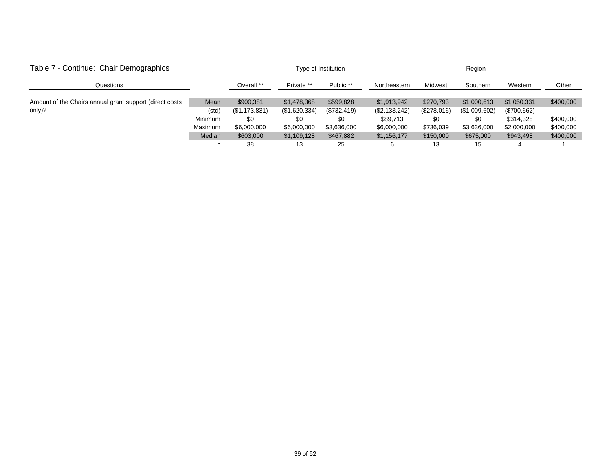| Table 7 - Continue: Chair Demographics                   |         |               |               | Type of Institution | Region        |             |               |             |           |  |
|----------------------------------------------------------|---------|---------------|---------------|---------------------|---------------|-------------|---------------|-------------|-----------|--|
| Questions                                                |         | Overall **    | Private **    | Public **           | Northeastern  | Midwest     | Southern      | Western     | Other     |  |
|                                                          |         |               |               |                     |               |             |               |             |           |  |
| Amount of the Chairs annual grant support (direct costs) | Mean    | \$900,381     | \$1,478,368   | \$599,828           | \$1,913,942   | \$270,793   | \$1,000,613   | \$1,050,331 | \$400,000 |  |
| only)?                                                   | (std)   | (\$1,173,831) | (\$1,620,334) | (\$732,419)         | (\$2,133,242) | (\$278,016) | (\$1,009,602) | (\$700,662) |           |  |
|                                                          | Minimum | \$0           | \$0           | \$0                 | \$89,713      | \$0         | \$0           | \$314.328   | \$400,000 |  |
|                                                          | Maximum | \$6,000,000   | \$6,000,000   | \$3,636,000         | \$6,000,000   | \$736,039   | \$3,636,000   | \$2,000,000 | \$400,000 |  |
|                                                          | Median  | \$603,000     | \$1,109,128   | \$467,882           | \$1,156,177   | \$150,000   | \$675,000     | \$943,498   | \$400,000 |  |
|                                                          | n       | 38            | 13            | 25                  |               | 13          | 15            | 4           |           |  |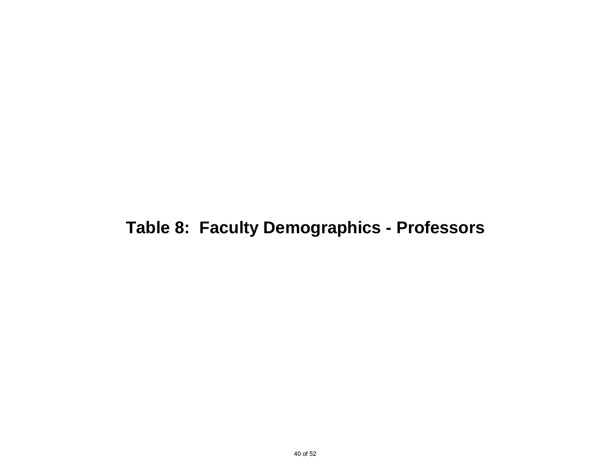## **Table 8: Faculty Demographics - Professors**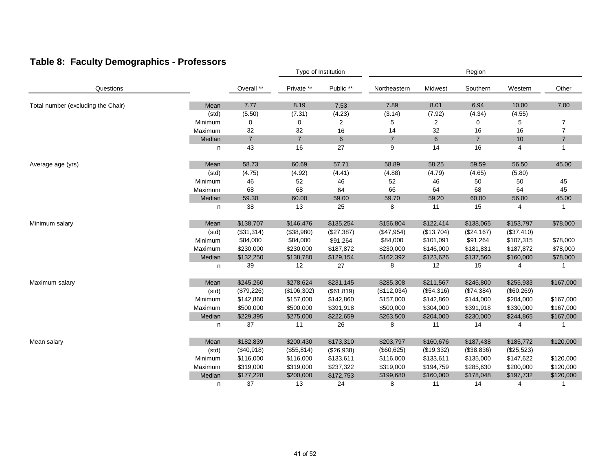### **Table 8: Faculty Demographics - Professors**

|                                    |         |                |                | Type of Institution |                |            | Region         |            |                |
|------------------------------------|---------|----------------|----------------|---------------------|----------------|------------|----------------|------------|----------------|
| Questions                          |         | Overall **     | Private **     | Public **           | Northeastern   | Midwest    | Southern       | Western    | Other          |
| Total number (excluding the Chair) | Mean    | 7.77           | 8.19           | 7.53                | 7.89           | 8.01       | 6.94           | 10.00      | 7.00           |
|                                    | (std)   | (5.50)         | (7.31)         | (4.23)              | (3.14)         | (7.92)     | (4.34)         | (4.55)     |                |
|                                    | Minimum | 0              | 0              | 2                   | 5              | 2          | $\mathbf 0$    | 5          | 7              |
|                                    | Maximum | 32             | 32             | 16                  | 14             | 32         | 16             | 16         | 7              |
|                                    | Median  | $\overline{7}$ | $\overline{7}$ | $\,6$               | $\overline{7}$ | $\,6\,$    | $\overline{7}$ | 10         | $\overline{7}$ |
|                                    | n       | 43             | 16             | 27                  | 9              | 14         | 16             | 4          | 1              |
| Average age (yrs)                  | Mean    | 58.73          | 60.69          | 57.71               | 58.89          | 58.25      | 59.59          | 56.50      | 45.00          |
|                                    | (std)   | (4.75)         | (4.92)         | (4.41)              | (4.88)         | (4.79)     | (4.65)         | (5.80)     |                |
|                                    | Minimum | 46             | 52             | 46                  | 52             | 46         | 50             | 50         | 45             |
|                                    | Maximum | 68             | 68             | 64                  | 66             | 64         | 68             | 64         | 45             |
|                                    | Median  | 59.30          | 60.00          | 59.00               | 59.70          | 59.20      | 60.00          | 56.00      | 45.00          |
|                                    | n       | 38             | 13             | 25                  | 8              | 11         | 15             | 4          | -1             |
| Minimum salary                     | Mean    | \$138,707      | \$146,476      | \$135,254           | \$156,804      | \$122,414  | \$138,065      | \$153,797  | \$78,000       |
|                                    | (std)   | (\$31,314)     | (\$38,980)     | (\$27,387)          | (\$47,954)     | (\$13,704) | $(\$24, 167)$  | (\$37,410) |                |
|                                    | Minimum | \$84,000       | \$84,000       | \$91,264            | \$84,000       | \$101,091  | \$91,264       | \$107,315  | \$78,000       |
|                                    | Maximum | \$230,000      | \$230,000      | \$187,872           | \$230,000      | \$146,000  | \$181,831      | \$187,872  | \$78,000       |
|                                    | Median  | \$132,250      | \$138,780      | \$129,154           | \$162,392      | \$123,626  | \$137,560      | \$160,000  | \$78,000       |
|                                    | n       | 39             | 12             | 27                  | 8              | 12         | 15             | 4          | -1             |
| Maximum salary                     | Mean    | \$245,260      | \$278,624      | \$231,145           | \$285,308      | \$211,567  | \$245,800      | \$255,933  | \$167,000      |
|                                    | (std)   | (\$79,226)     | (\$106,302)    | (\$61, 819)         | (\$112,034)    | (\$54,316) | (\$74,384)     | (\$60,269) |                |
|                                    | Minimum | \$142,860      | \$157,000      | \$142,860           | \$157,000      | \$142,860  | \$144,000      | \$204,000  | \$167,000      |
|                                    | Maximum | \$500,000      | \$500,000      | \$391,918           | \$500,000      | \$304,000  | \$391,918      | \$330,000  | \$167,000      |
|                                    | Median  | \$229,395      | \$275,000      | \$222,659           | \$263,500      | \$204,000  | \$230,000      | \$244,865  | \$167,000      |
|                                    | n       | 37             | 11             | 26                  | 8              | 11         | 14             | 4          |                |
| Mean salary                        | Mean    | \$182,839      | \$200,430      | \$173,310           | \$203,797      | \$160,676  | \$187,438      | \$185,772  | \$120,000      |
|                                    | (std)   | (\$40,918)     | (\$55,814)     | (\$26,938)          | (\$60,625)     | (\$19,332) | (\$38,836)     | (\$25,523) |                |
|                                    | Minimum | \$116,000      | \$116,000      | \$133,611           | \$116,000      | \$133,611  | \$135,000      | \$147,622  | \$120,000      |
|                                    | Maximum | \$319,000      | \$319,000      | \$237,322           | \$319,000      | \$194,759  | \$285,630      | \$200,000  | \$120,000      |
|                                    | Median  | \$177,228      | \$200,000      | \$172,753           | \$199,680      | \$160,000  | \$178,048      | \$197,732  | \$120,000      |
|                                    | n       | 37             | 13             | 24                  | 8              | 11         | 14             | 4          |                |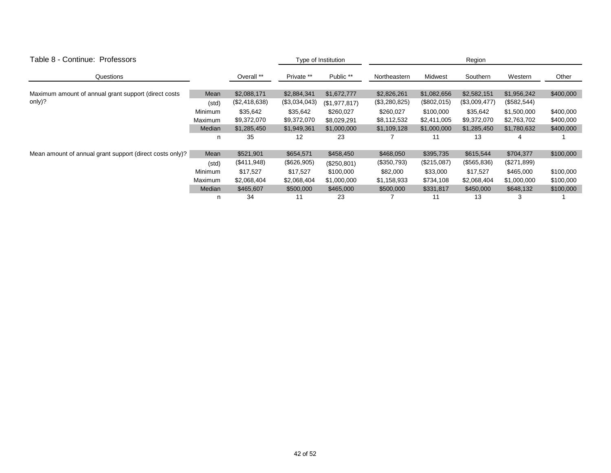| Table 8 - Continue: Professors                           |                |               |               | Type of Institution |               | Region      |               |             |           |  |  |
|----------------------------------------------------------|----------------|---------------|---------------|---------------------|---------------|-------------|---------------|-------------|-----------|--|--|
| Questions                                                |                | Overall **    | Private **    | Public **           | Northeastern  | Midwest     | Southern      | Western     | Other     |  |  |
| Maximum amount of annual grant support (direct costs     | Mean           | \$2,088,171   | \$2,884,341   | \$1,672,777         | \$2,826,261   | \$1,082,656 | \$2,582,151   | \$1,956,242 | \$400,000 |  |  |
| only)?                                                   | (std)          | (\$2,418,638) | (\$3,034,043) | (\$1,977,817)       | (\$3,280,825) | (\$802,015) | (\$3,009,477) | (\$582,544) |           |  |  |
|                                                          | Minimum        | \$35,642      | \$35,642      | \$260,027           | \$260,027     | \$100,000   | \$35,642      | \$1,500,000 | \$400,000 |  |  |
|                                                          | Maximum        | \$9,372,070   | \$9,372,070   | \$8,029,291         | \$8,112,532   | \$2,411,005 | \$9,372,070   | \$2,763,702 | \$400,000 |  |  |
|                                                          | Median         | \$1,285,450   | \$1,949,361   | \$1,000,000         | \$1,109,128   | \$1,000,000 | \$1,285,450   | \$1,780,632 | \$400,000 |  |  |
|                                                          | n              | 35            | 12            | 23                  |               | 11          | 13            | 4           |           |  |  |
| Mean amount of annual grant support (direct costs only)? | Mean           | \$521,901     | \$654,571     | \$458,450           | \$468,050     | \$395,735   | \$615,544     | \$704,377   | \$100,000 |  |  |
|                                                          | (std)          | (\$411,948)   | (\$626,905)   | (\$250,801)         | (\$350,793)   | (\$215,087) | (\$565,836)   | (\$271,899) |           |  |  |
|                                                          | <b>Minimum</b> | \$17,527      | \$17,527      | \$100,000           | \$82,000      | \$33,000    | \$17,527      | \$465,000   | \$100,000 |  |  |
|                                                          | Maximum        | \$2,068,404   | \$2,068,404   | \$1,000,000         | \$1,158,933   | \$734,108   | \$2,068,404   | \$1,000,000 | \$100,000 |  |  |
|                                                          | Median         | \$465,607     | \$500,000     | \$465,000           | \$500,000     | \$331,817   | \$450,000     | \$648,132   | \$100,000 |  |  |
|                                                          | n              | 34            | 11            | 23                  |               | 11          | 13            |             |           |  |  |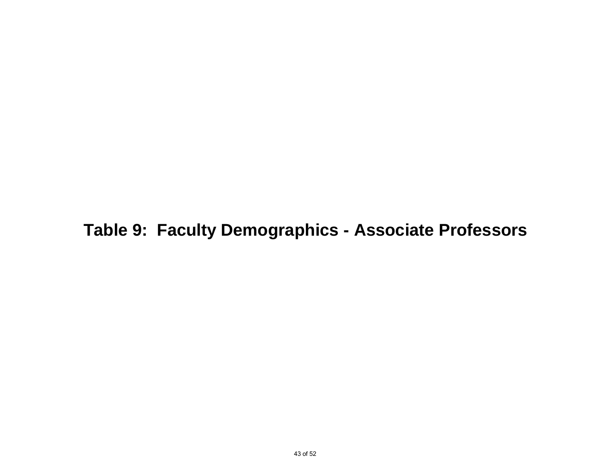**Table 9: Faculty Demographics - Associate Professors**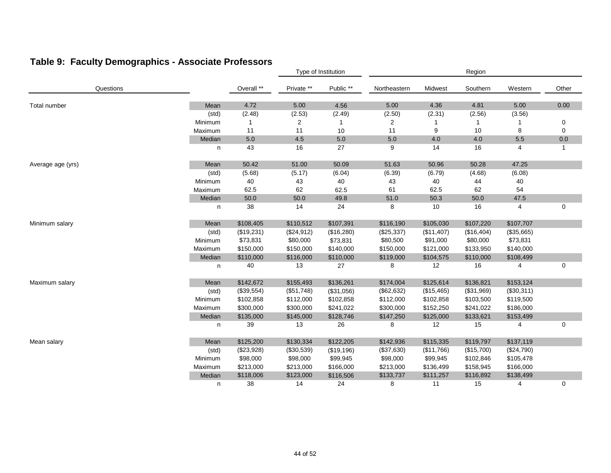### **Table 9: Faculty Demographics - Associate Professors**

|                   |         |            | Type of Institution |            | Region       |            |            |            |       |
|-------------------|---------|------------|---------------------|------------|--------------|------------|------------|------------|-------|
| Questions         |         | Overall ** | Private **          | Public **  | Northeastern | Midwest    | Southern   | Western    | Other |
| Total number      | Mean    | 4.72       | 5.00                | 4.56       | 5.00         | 4.36       | 4.81       | 5.00       | 0.00  |
|                   | (std)   | (2.48)     | (2.53)              | (2.49)     | (2.50)       | (2.31)     | (2.56)     | (3.56)     |       |
|                   | Minimum | 1          | 2                   | 1          | 2            |            |            |            | 0     |
|                   | Maximum | 11         | 11                  | 10         | 11           | 9          | 10         | 8          | 0     |
|                   | Median  | $5.0\,$    | 4.5                 | $5.0\,$    | $5.0\,$      | 4.0        | 4.0        | $5.5\,$    | 0.0   |
|                   | n       | 43         | 16                  | 27         | 9            | 14         | 16         | 4          | 1     |
| Average age (yrs) | Mean    | 50.42      | 51.00               | 50.09      | 51.63        | 50.96      | 50.28      | 47.25      |       |
|                   | (std)   | (5.68)     | (5.17)              | (6.04)     | (6.39)       | (6.79)     | (4.68)     | (6.08)     |       |
|                   | Minimum | 40         | 43                  | 40         | 43           | 40         | 44         | 40         |       |
|                   | Maximum | 62.5       | 62                  | 62.5       | 61           | 62.5       | 62         | 54         |       |
|                   | Median  | 50.0       | 50.0                | 49.8       | 51.0         | 50.3       | 50.0       | 47.5       |       |
|                   | n       | 38         | 14                  | 24         | 8            | 10         | 16         | 4          | 0     |
| Minimum salary    | Mean    | \$108,405  | \$110,512           | \$107,391  | \$116,190    | \$105,030  | \$107,220  | \$107,707  |       |
|                   | (std)   | (\$19,231) | (\$24,912)          | (\$16,280) | (\$25,337)   | (\$11,407) | (\$16,404) | (\$35,665) |       |
|                   | Minimum | \$73,831   | \$80,000            | \$73,831   | \$80,500     | \$91,000   | \$80,000   | \$73,831   |       |
|                   | Maximum | \$150,000  | \$150,000           | \$140,000  | \$150,000    | \$121,000  | \$133,950  | \$140,000  |       |
|                   | Median  | \$110,000  | \$116,000           | \$110,000  | \$119,000    | \$104,575  | \$110,000  | \$108,499  |       |
|                   | n       | 40         | 13                  | 27         | 8            | 12         | 16         | 4          | 0     |
| Maximum salary    | Mean    | \$142,672  | \$155,493           | \$136,261  | \$174,004    | \$125,614  | \$136,821  | \$153,124  |       |
|                   | (std)   | (\$39,554) | (\$51,748)          | (\$31,056) | (\$62,632)   | (\$15,465) | (\$31,969) | (\$30,311) |       |
|                   | Minimum | \$102,858  | \$112,000           | \$102,858  | \$112,000    | \$102,858  | \$103,500  | \$119,500  |       |
|                   | Maximum | \$300,000  | \$300,000           | \$241,022  | \$300,000    | \$152,250  | \$241,022  | \$186,000  |       |
|                   | Median  | \$135,000  | \$145,000           | \$128,746  | \$147,250    | \$125,000  | \$133,621  | \$153,499  |       |
|                   | n       | 39         | 13                  | 26         | 8            | 12         | 15         | 4          | 0     |
| Mean salary       | Mean    | \$125,200  | \$130,334           | \$122,205  | \$142,936    | \$115,335  | \$119,797  | \$137,119  |       |
|                   | (std)   | (\$23,928) | (\$30,539)          | (\$19,196) | (\$37,630)   | (\$11,766) | (\$15,700) | (\$24,790) |       |
|                   | Minimum | \$98,000   | \$98,000            | \$99,945   | \$98,000     | \$99,945   | \$102,846  | \$105,478  |       |
|                   | Maximum | \$213,000  | \$213,000           | \$166,000  | \$213,000    | \$136,499  | \$158,945  | \$166,000  |       |
|                   | Median  | \$118,006  | \$123,000           | \$116,506  | \$133,737    | \$111,257  | \$116,892  | \$138,499  |       |
|                   | n       | 38         | 14                  | 24         | 8            | 11         | 15         | 4          | 0     |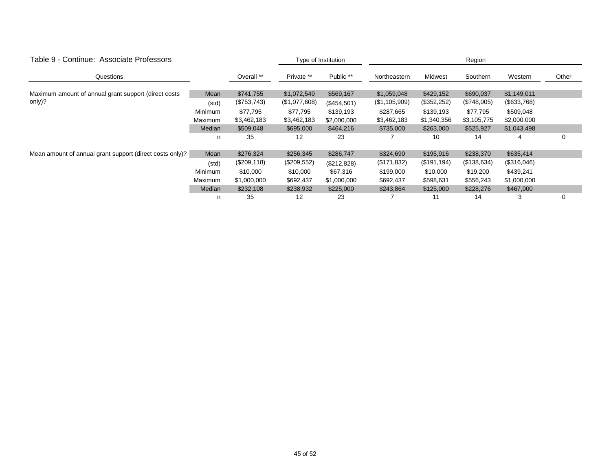| Table 9 - Continue: Associate Professors                 |         |             | Type of Institution |             |               |              | Region      |             |       |
|----------------------------------------------------------|---------|-------------|---------------------|-------------|---------------|--------------|-------------|-------------|-------|
| Questions                                                |         | Overall **  | Private **          | Public **   | Northeastern  | Midwest      | Southern    | Western     | Other |
| Maximum amount of annual grant support (direct costs     | Mean    | \$741,755   | \$1,072,549         | \$569,167   | \$1,059,048   | \$429,152    | \$690,037   | \$1,149,011 |       |
| only)?                                                   | (std)   | (\$753,743) | (\$1,077,608)       | (\$454,501) | (\$1,105,909) | (\$352,252)  | (\$748,005) | (\$633,768) |       |
|                                                          | Minimum | \$77,795    | \$77,795            | \$139,193   | \$287,665     | \$139,193    | \$77,795    | \$509,048   |       |
|                                                          | Maximum | \$3,462,183 | \$3,462,183         | \$2,000,000 | \$3,462,183   | \$1,340,356  | \$3,105,775 | \$2,000,000 |       |
|                                                          | Median  | \$509,048   | \$695,000           | \$464,216   | \$735,000     | \$263,000    | \$525,927   | \$1,043,498 |       |
|                                                          | n       | 35          | 12                  | 23          |               | 10           | 14          | 4           | 0     |
| Mean amount of annual grant support (direct costs only)? | Mean    | \$276,324   | \$256,345           | \$286,747   | \$324,690     | \$195,916    | \$238,370   | \$635,414   |       |
|                                                          | (std)   | (\$209,118) | (\$209,552)         | (\$212,828) | (\$171,832)   | (\$191, 194) | (\$138,634) | (\$316,046) |       |
|                                                          | Minimum | \$10,000    | \$10,000            | \$67,316    | \$199,000     | \$10,000     | \$19,200    | \$439,241   |       |
|                                                          | Maximum | \$1,000,000 | \$692,437           | \$1,000,000 | \$692,437     | \$598,631    | \$556,243   | \$1,000,000 |       |
|                                                          | Median  | \$232,108   | \$238,932           | \$225,000   | \$243,864     | \$125,000    | \$228,276   | \$467,000   |       |
|                                                          | n       | 35          | 12                  | 23          |               |              | 14          | 3           | 0     |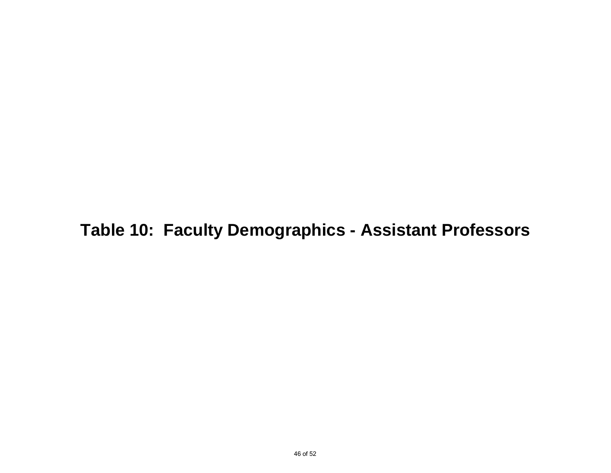## **Table 10: Faculty Demographics - Assistant Professors**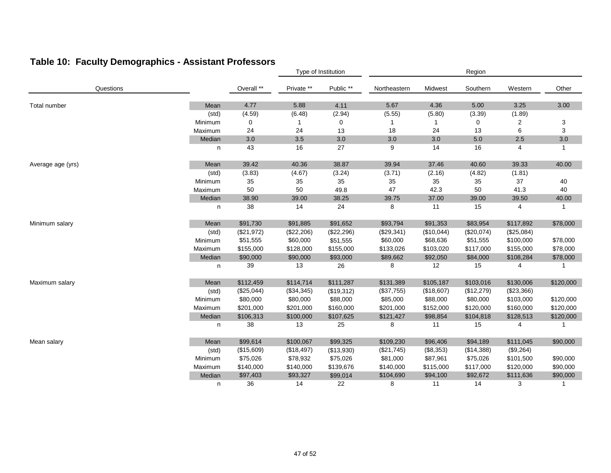### **Table 10: Faculty Demographics - Assistant Professors**

|                   |         |            |            | Type of Institution |              | Region       |            |                |              |  |
|-------------------|---------|------------|------------|---------------------|--------------|--------------|------------|----------------|--------------|--|
| Questions         |         | Overall ** | Private ** | Public **           | Northeastern | Midwest      | Southern   | Western        | Other        |  |
| Total number      | Mean    | 4.77       | 5.88       | 4.11                | 5.67         | 4.36         | 5.00       | 3.25           | 3.00         |  |
|                   | (std)   | (4.59)     | (6.48)     | (2.94)              | (5.55)       | (5.80)       | (3.39)     | (1.89)         |              |  |
|                   | Minimum | 0          |            | 0                   |              | $\mathbf{1}$ | 0          | $\overline{2}$ | 3            |  |
|                   | Maximum | 24         | 24         | 13                  | 18           | 24           | 13         | 6              | 3            |  |
|                   | Median  | 3.0        | 3.5        | 3.0                 | 3.0          | 3.0          | 5.0        | 2.5            | 3.0          |  |
|                   | n       | 43         | 16         | 27                  | 9            | 14           | 16         | 4              | $\mathbf{1}$ |  |
| Average age (yrs) | Mean    | 39.42      | 40.36      | 38.87               | 39.94        | 37.46        | 40.60      | 39.33          | 40.00        |  |
|                   | (std)   | (3.83)     | (4.67)     | (3.24)              | (3.71)       | (2.16)       | (4.82)     | (1.81)         |              |  |
|                   | Minimum | 35         | 35         | 35                  | 35           | 35           | 35         | 37             | 40           |  |
|                   | Maximum | 50         | 50         | 49.8                | 47           | 42.3         | 50         | 41.3           | 40           |  |
|                   | Median  | 38.90      | 39.00      | 38.25               | 39.75        | 37.00        | 39.00      | 39.50          | 40.00        |  |
|                   | n       | 38         | 14         | 24                  | 8            | 11           | 15         | 4              | $\mathbf{1}$ |  |
| Minimum salary    | Mean    | \$91,730   | \$91,885   | \$91,652            | \$93,794     | \$91,353     | \$83,954   | \$117,892      | \$78,000     |  |
|                   | (std)   | (\$21,972) | (\$22,206) | (\$22,296)          | $(\$29,341)$ | (\$10,044)   | (\$20,074) | (\$25,084)     |              |  |
|                   | Minimum | \$51,555   | \$60,000   | \$51,555            | \$60,000     | \$68,636     | \$51,555   | \$100,000      | \$78,000     |  |
|                   | Maximum | \$155,000  | \$128,000  | \$155,000           | \$133,026    | \$103,020    | \$117,000  | \$155,000      | \$78,000     |  |
|                   | Median  | \$90,000   | \$90,000   | \$93,000            | \$89,662     | \$92,050     | \$84,000   | \$108,284      | \$78,000     |  |
|                   | n       | 39         | 13         | 26                  | 8            | 12           | 15         | 4              | 1            |  |
| Maximum salary    | Mean    | \$112,459  | \$114,714  | \$111,287           | \$131,389    | \$105,187    | \$103,016  | \$130,006      | \$120,000    |  |
|                   | (std)   | (\$25,044) | (\$34,345) | (\$19,312)          | (\$37,755)   | (\$18,607)   | (\$12,279) | (\$23,366)     |              |  |
|                   | Minimum | \$80,000   | \$80,000   | \$88,000            | \$85,000     | \$88,000     | \$80,000   | \$103,000      | \$120,000    |  |
|                   | Maximum | \$201,000  | \$201,000  | \$160,000           | \$201,000    | \$152,000    | \$120,000  | \$160,000      | \$120,000    |  |
|                   | Median  | \$106,313  | \$100,000  | \$107,625           | \$121,427    | \$98,854     | \$104,818  | \$128,513      | \$120,000    |  |
|                   | n       | 38         | 13         | 25                  | 8            | 11           | 15         | 4              | 1            |  |
| Mean salary       | Mean    | \$99,614   | \$100,067  | \$99,325            | \$109,230    | \$96,406     | \$94,189   | \$111,045      | \$90,000     |  |
|                   | (std)   | (\$15,609) | (\$18,497) | (\$13,930)          | (\$21,745)   | (\$8,353)    | (\$14,388) | (\$9,264)      |              |  |
|                   | Minimum | \$75,026   | \$78,932   | \$75,026            | \$81,000     | \$87,961     | \$75,026   | \$101,500      | \$90,000     |  |
|                   | Maximum | \$140,000  | \$140,000  | \$139,676           | \$140,000    | \$115,000    | \$117,000  | \$120,000      | \$90,000     |  |
|                   | Median  | \$97,403   | \$93,327   | \$99,014            | \$104,690    | \$94,100     | \$92,672   | \$111,636      | \$90,000     |  |
|                   | n       | 36         | 14         | 22                  | 8            | 11           | 14         | 3              | 1            |  |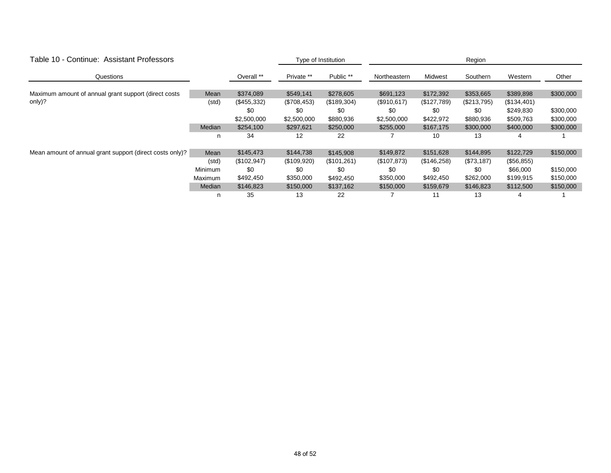| Table 10 - Continue: Assistant Professors                |         |               |             | Type of Institution | Region       |             |             |             |           |  |
|----------------------------------------------------------|---------|---------------|-------------|---------------------|--------------|-------------|-------------|-------------|-----------|--|
| Questions                                                |         | Overall **    | Private **  | Public **           | Northeastern | Midwest     | Southern    | Western     | Other     |  |
| Maximum amount of annual grant support (direct costs)    | Mean    | \$374,089     | \$549,141   | \$278,605           | \$691,123    | \$172,392   | \$353,665   | \$389,898   | \$300,000 |  |
| only)?                                                   | (std)   | $(\$455,332)$ | (\$708,453) | (\$189,304)         | (\$910,617)  | (\$127,789) | (\$213,795) | (\$134,401) |           |  |
|                                                          |         | \$0           | \$0         | \$0                 | \$0          | \$0         | \$0         | \$249,830   | \$300,000 |  |
|                                                          |         | \$2,500,000   | \$2,500,000 | \$880,936           | \$2,500,000  | \$422,972   | \$880,936   | \$509,763   | \$300,000 |  |
|                                                          | Median  | \$254,100     | \$297,621   | \$250,000           | \$255,000    | \$167,175   | \$300,000   | \$400,000   | \$300,000 |  |
|                                                          | n       | 34            | 12          | 22                  |              | 10          | 13          | 4           |           |  |
| Mean amount of annual grant support (direct costs only)? | Mean    | \$145,473     | \$144,738   | \$145,908           | \$149,872    | \$151,628   | \$144,895   | \$122,729   | \$150,000 |  |
|                                                          | (std)   | (\$102,947)   | (\$109,920) | (\$101,261)         | (\$107,873)  | (\$146,258) | (\$73,187)  | (\$56,855)  |           |  |
|                                                          | Minimum | \$0           | \$0         | \$0                 | \$0          | \$0         | \$0         | \$66,000    | \$150,000 |  |
|                                                          | Maximum | \$492,450     | \$350,000   | \$492,450           | \$350,000    | \$492,450   | \$262,000   | \$199,915   | \$150,000 |  |
|                                                          | Median  | \$146,823     | \$150,000   | \$137,162           | \$150,000    | \$159,679   | \$146,823   | \$112,500   | \$150,000 |  |
|                                                          | n       | 35            | 13          | 22                  |              |             | 13          |             |           |  |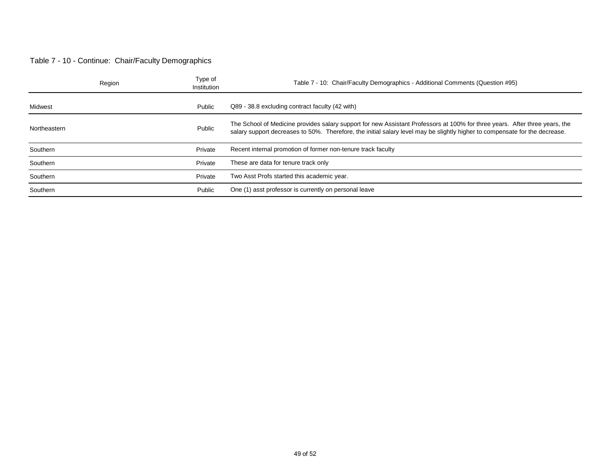#### Table 7 - 10 - Continue: Chair/Faculty Demographics

|              | Region | Type of<br>Institution | Table 7 - 10: Chair/Faculty Demographics - Additional Comments (Question #95)                                                                                                                                                                              |
|--------------|--------|------------------------|------------------------------------------------------------------------------------------------------------------------------------------------------------------------------------------------------------------------------------------------------------|
| Midwest      |        | Public                 | Q89 - 38.8 excluding contract faculty (42 with)                                                                                                                                                                                                            |
| Northeastern |        | Public                 | The School of Medicine provides salary support for new Assistant Professors at 100% for three years. After three years, the<br>salary support decreases to 50%. Therefore, the initial salary level may be slightly higher to compensate for the decrease. |
| Southern     |        | Private                | Recent internal promotion of former non-tenure track faculty                                                                                                                                                                                               |
| Southern     |        | Private                | These are data for tenure track only                                                                                                                                                                                                                       |
| Southern     |        | Private                | Two Asst Profs started this academic year.                                                                                                                                                                                                                 |
| Southern     |        | Public                 | One (1) asst professor is currently on personal leave                                                                                                                                                                                                      |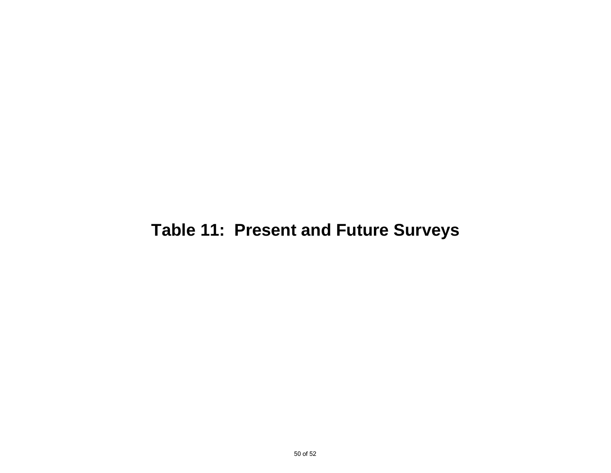## **Table 11: Present and Future Surveys**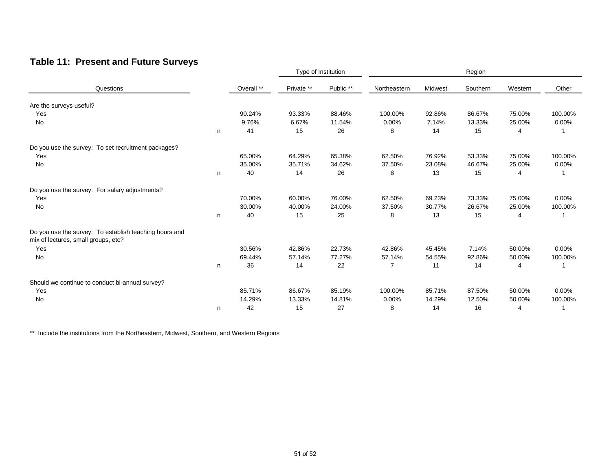### **Table 11: Present and Future Surveys**

| Questions                                                                                     |   |            | Type of Institution |           | Region         |         |          |         |          |
|-----------------------------------------------------------------------------------------------|---|------------|---------------------|-----------|----------------|---------|----------|---------|----------|
|                                                                                               |   | Overall ** | Private **          | Public ** | Northeastern   | Midwest | Southern | Western | Other    |
| Are the surveys useful?                                                                       |   |            |                     |           |                |         |          |         |          |
| Yes                                                                                           |   | 90.24%     | 93.33%              | 88.46%    | 100.00%        | 92.86%  | 86.67%   | 75.00%  | 100.00%  |
| No                                                                                            |   | 9.76%      | 6.67%               | 11.54%    | 0.00%          | 7.14%   | 13.33%   | 25.00%  | 0.00%    |
|                                                                                               | n | 41         | 15                  | 26        | 8              | 14      | 15       | 4       |          |
| Do you use the survey: To set recruitment packages?                                           |   |            |                     |           |                |         |          |         |          |
| Yes                                                                                           |   | 65.00%     | 64.29%              | 65.38%    | 62.50%         | 76.92%  | 53.33%   | 75.00%  | 100.00%  |
| No                                                                                            |   | 35.00%     | 35.71%              | 34.62%    | 37.50%         | 23.08%  | 46.67%   | 25.00%  | $0.00\%$ |
|                                                                                               | n | 40         | 14                  | 26        | 8              | 13      | 15       | 4       |          |
| Do you use the survey: For salary adjustments?                                                |   |            |                     |           |                |         |          |         |          |
| Yes                                                                                           |   | 70.00%     | 60.00%              | 76.00%    | 62.50%         | 69.23%  | 73.33%   | 75.00%  | 0.00%    |
| <b>No</b>                                                                                     |   | 30.00%     | 40.00%              | 24.00%    | 37.50%         | 30.77%  | 26.67%   | 25.00%  | 100.00%  |
|                                                                                               | n | 40         | 15                  | 25        | 8              | 13      | 15       | 4       |          |
| Do you use the survey: To establish teaching hours and<br>mix of lectures, small groups, etc? |   |            |                     |           |                |         |          |         |          |
| Yes                                                                                           |   | 30.56%     | 42.86%              | 22.73%    | 42.86%         | 45.45%  | 7.14%    | 50.00%  | $0.00\%$ |
| No                                                                                            |   | 69.44%     | 57.14%              | 77.27%    | 57.14%         | 54.55%  | 92.86%   | 50.00%  | 100.00%  |
|                                                                                               | n | 36         | 14                  | 22        | $\overline{7}$ | 11      | 14       | 4       |          |
| Should we continue to conduct bi-annual survey?                                               |   |            |                     |           |                |         |          |         |          |
| Yes                                                                                           |   | 85.71%     | 86.67%              | 85.19%    | 100.00%        | 85.71%  | 87.50%   | 50.00%  | 0.00%    |
| No                                                                                            |   | 14.29%     | 13.33%              | 14.81%    | 0.00%          | 14.29%  | 12.50%   | 50.00%  | 100.00%  |
|                                                                                               | n | 42         | 15                  | 27        | 8              | 14      | 16       | 4       |          |

\*\* Include the institutions from the Northeastern, Midwest, Southern, and Western Regions